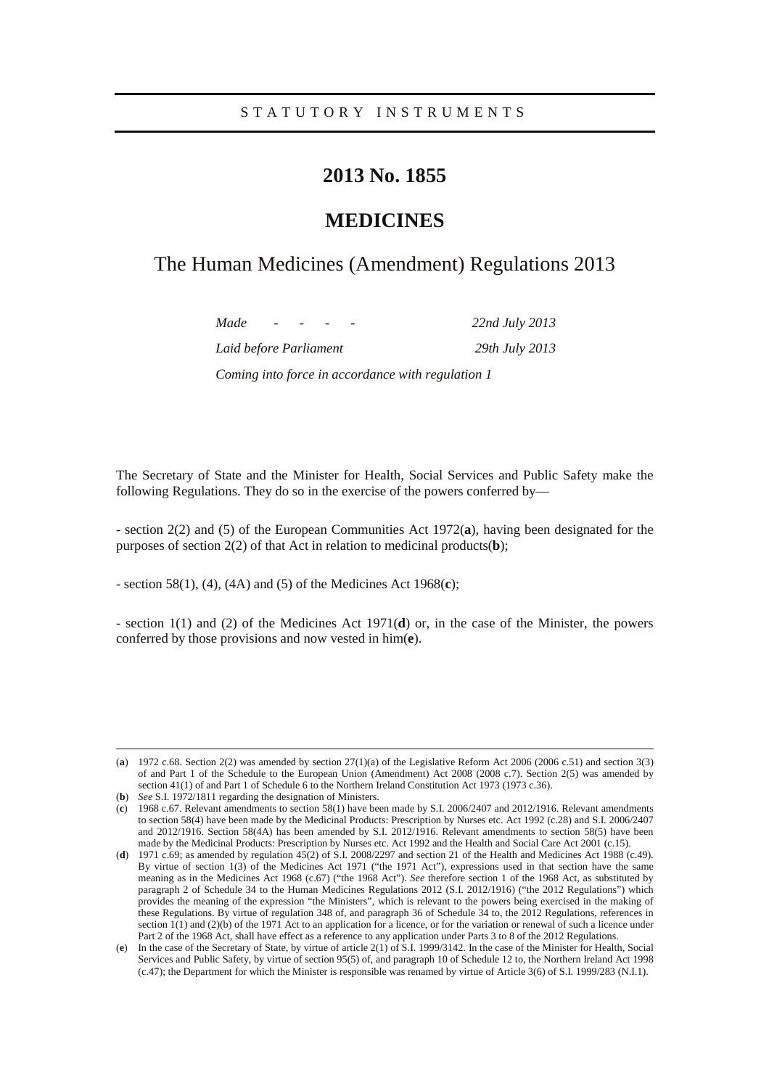# **2013 No. 1855**

# **MEDICINES**

# The Human Medicines (Amendment) Regulations 2013

*Made - - - - 22nd July 2013 Laid before Parliament 29th July 2013* 

*Coming into force in accordance with regulation 1* 

The Secretary of State and the Minister for Health, Social Services and Public Safety make the following Regulations. They do so in the exercise of the powers conferred by—

- section 2(2) and (5) of the European Communities Act 1972(**a**), having been designated for the purposes of section 2(2) of that Act in relation to medicinal products(**b**);

- section 58(1), (4), (4A) and (5) of the Medicines Act 1968(**c**);

- section 1(1) and (2) of the Medicines Act 1971(**d**) or, in the case of the Minister, the powers conferred by those provisions and now vested in him(**e**).

<sup>(</sup>a)  $1972 \text{ c.68}$ . Section 2(2) was amended by section  $27(1)(a)$  of the Legislative Reform Act 2006 (2006 c.51) and section 3(3) of and Part 1 of the Schedule to the European Union (Amendment) Act 2008 (2008 c.7). Section 2(5) was amended by section 41(1) of and Part 1 of Schedule 6 to the Northern Ireland Constitution Act 1973 (1973 c.36).

<sup>(</sup>**b**) *See* S.I. 1972/1811 regarding the designation of Ministers.

<sup>(</sup>**c**) 1968 c.67. Relevant amendments to section 58(1) have been made by S.I. 2006/2407 and 2012/1916. Relevant amendments to section 58(4) have been made by the Medicinal Products: Prescription by Nurses etc. Act 1992 (c.28) and S.I. 2006/2407 and 2012/1916. Section 58(4A) has been amended by S.I. 2012/1916. Relevant amendments to section 58(5) have been made by the Medicinal Products: Prescription by Nurses etc. Act 1992 and the Health and Social Care Act 2001 (c.15).

<sup>(</sup>**d**) 1971 c.69; as amended by regulation  $45(2)$  of S.I. 2008/2297 and section 21 of the Health and Medicines Act 1988 (c.49). By virtue of section 1(3) of the Medicines Act 1971 ("the 1971 Act"), expressions used in that section have the same meaning as in the Medicines Act 1968 (c.67) ("the 1968 Act"). *See* therefore section 1 of the 1968 Act, as substituted by paragraph 2 of Schedule 34 to the Human Medicines Regulations 2012 (S.I. 2012/1916) ("the 2012 Regulations") which provides the meaning of the expression "the Ministers", which is relevant to the powers being exercised in the making of these Regulations. By virtue of regulation 348 of, and paragraph 36 of Schedule 34 to, the 2012 Regulations, references in section  $1(1)$  and  $(2)(b)$  of the 1971 Act to an application for a licence, or for the variation or renewal of such a licence under Part 2 of the 1968 Act, shall have effect as a reference to any application under Parts 3 to 8 of the 2012 Regulations.

<sup>(</sup>**e**) In the case of the Secretary of State, by virtue of article 2(1) of S.I. 1999/3142. In the case of the Minister for Health, Social Services and Public Safety, by virtue of section 95(5) of, and paragraph 10 of Schedule 12 to, the Northern Ireland Act 1998 (c.47); the Department for which the Minister is responsible was renamed by virtue of Article 3(6) of S.I. 1999/283 (N.I.1).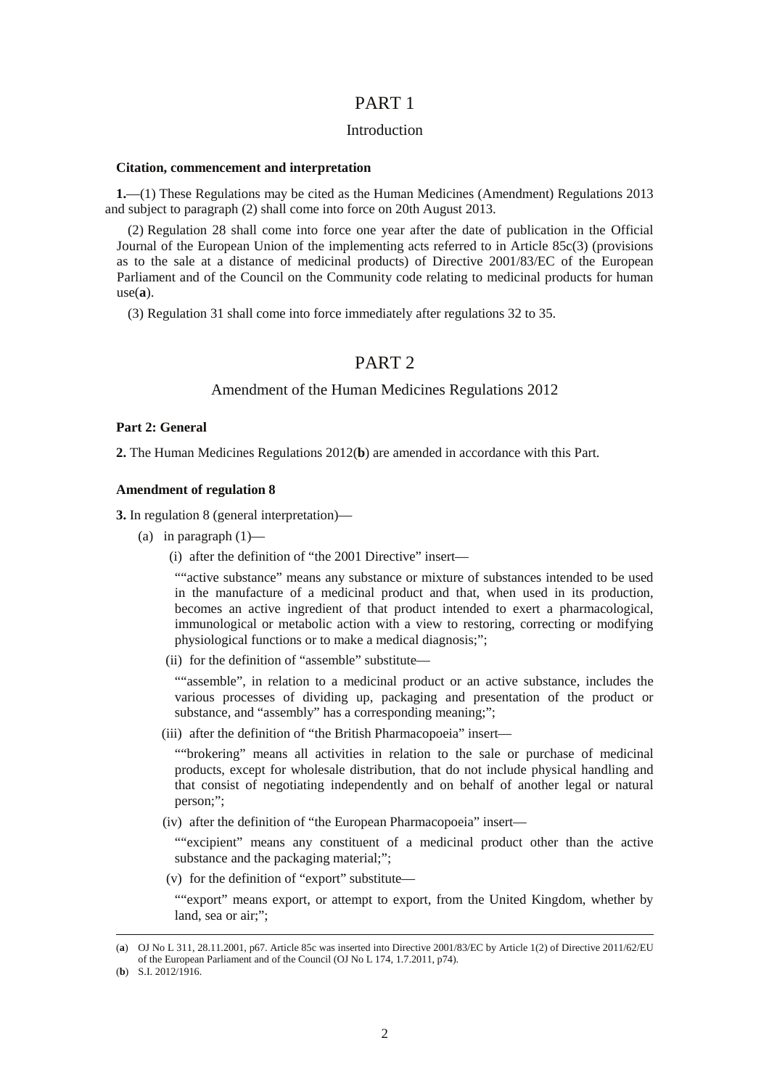## PART 1

### Introduction

### **Citation, commencement and interpretation**

**1.**—(1) These Regulations may be cited as the Human Medicines (Amendment) Regulations 2013 and subject to paragraph (2) shall come into force on 20th August 2013.

(2) Regulation 28 shall come into force one year after the date of publication in the Official Journal of the European Union of the implementing acts referred to in Article 85c(3) (provisions as to the sale at a distance of medicinal products) of Directive 2001/83/EC of the European Parliament and of the Council on the Community code relating to medicinal products for human use(**a**).

(3) Regulation 31 shall come into force immediately after regulations 32 to 35.

# PART 2

## Amendment of the Human Medicines Regulations 2012

### **Part 2: General**

**2.** The Human Medicines Regulations 2012(**b**) are amended in accordance with this Part.

### **Amendment of regulation 8**

**3.** In regulation 8 (general interpretation)—

- (a) in paragraph  $(1)$ 
	- (i) after the definition of "the 2001 Directive" insert—

""active substance" means any substance or mixture of substances intended to be used in the manufacture of a medicinal product and that, when used in its production, becomes an active ingredient of that product intended to exert a pharmacological, immunological or metabolic action with a view to restoring, correcting or modifying physiological functions or to make a medical diagnosis;";

(ii) for the definition of "assemble" substitute—

""assemble", in relation to a medicinal product or an active substance, includes the various processes of dividing up, packaging and presentation of the product or substance, and "assembly" has a corresponding meaning;";

(iii) after the definition of "the British Pharmacopoeia" insert—

""brokering" means all activities in relation to the sale or purchase of medicinal products, except for wholesale distribution, that do not include physical handling and that consist of negotiating independently and on behalf of another legal or natural person;";

(iv) after the definition of "the European Pharmacopoeia" insert—

""excipient" means any constituent of a medicinal product other than the active substance and the packaging material;";

(v) for the definition of "export" substitute—

""export" means export, or attempt to export, from the United Kingdom, whether by land, sea or air;":

<sup>(</sup>**a**) OJ No L 311, 28.11.2001, p67. Article 85c was inserted into Directive 2001/83/EC by Article 1(2) of Directive 2011/62/EU of the European Parliament and of the Council (OJ No L 174, 1.7.2011, p74).

<sup>(</sup>**b**) S.I. 2012/1916.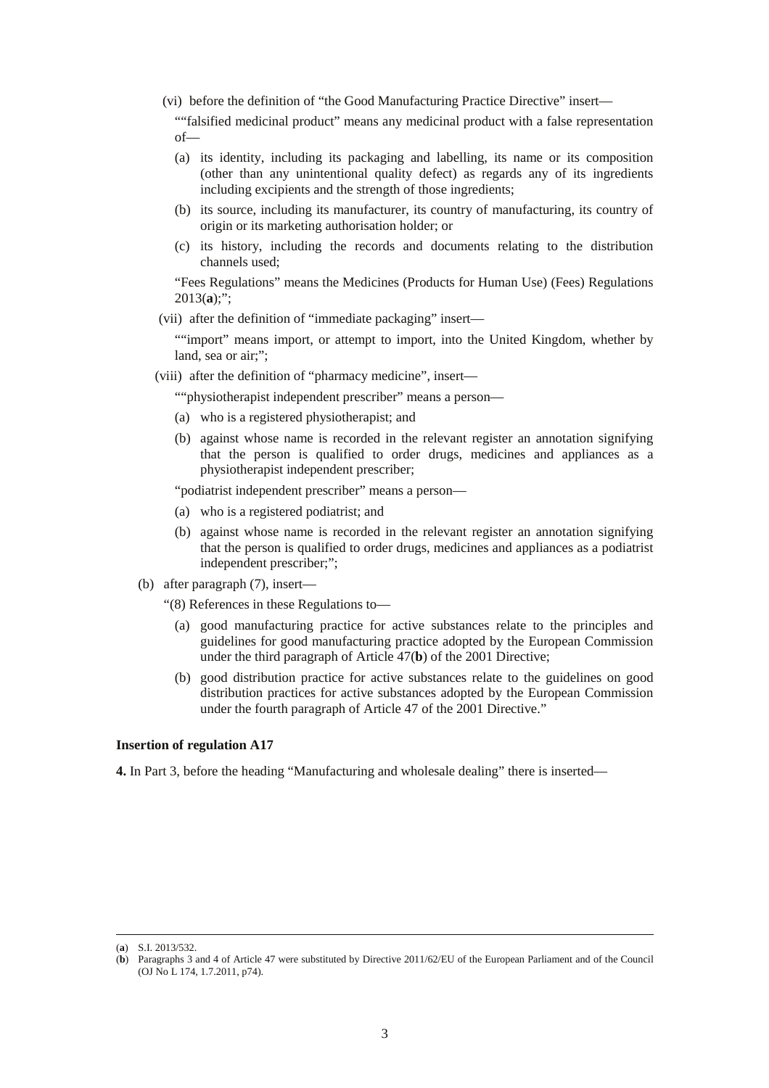(vi) before the definition of "the Good Manufacturing Practice Directive" insert—

""falsified medicinal product" means any medicinal product with a false representation of—

- (a) its identity, including its packaging and labelling, its name or its composition (other than any unintentional quality defect) as regards any of its ingredients including excipients and the strength of those ingredients;
- (b) its source, including its manufacturer, its country of manufacturing, its country of origin or its marketing authorisation holder; or
- (c) its history, including the records and documents relating to the distribution channels used;

"Fees Regulations" means the Medicines (Products for Human Use) (Fees) Regulations 2013(**a**);";

(vii) after the definition of "immediate packaging" insert—

""import" means import, or attempt to import, into the United Kingdom, whether by land, sea or air;":

(viii) after the definition of "pharmacy medicine", insert—

""physiotherapist independent prescriber" means a person—

- (a) who is a registered physiotherapist; and
- (b) against whose name is recorded in the relevant register an annotation signifying that the person is qualified to order drugs, medicines and appliances as a physiotherapist independent prescriber;

"podiatrist independent prescriber" means a person—

- (a) who is a registered podiatrist; and
- (b) against whose name is recorded in the relevant register an annotation signifying that the person is qualified to order drugs, medicines and appliances as a podiatrist independent prescriber;";
- (b) after paragraph (7), insert—

"(8) References in these Regulations to—

- (a) good manufacturing practice for active substances relate to the principles and guidelines for good manufacturing practice adopted by the European Commission under the third paragraph of Article 47(**b**) of the 2001 Directive;
- (b) good distribution practice for active substances relate to the guidelines on good distribution practices for active substances adopted by the European Commission under the fourth paragraph of Article 47 of the 2001 Directive."

### **Insertion of regulation A17**

**4.** In Part 3, before the heading "Manufacturing and wholesale dealing" there is inserted—

<sup>(</sup>**a**) S.I. 2013/532.

<sup>(</sup>**b**) Paragraphs 3 and 4 of Article 47 were substituted by Directive 2011/62/EU of the European Parliament and of the Council (OJ No L 174, 1.7.2011, p74).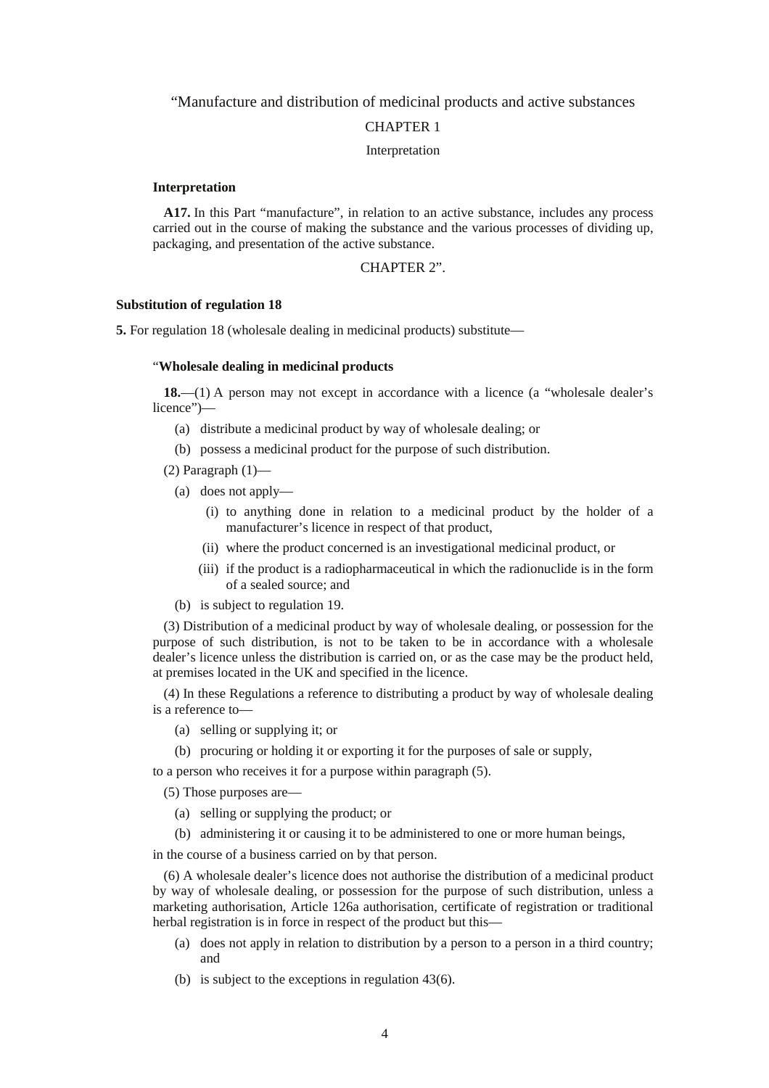"Manufacture and distribution of medicinal products and active substances

#### CHAPTER 1

### Interpretation

#### **Interpretation**

**A17.** In this Part "manufacture", in relation to an active substance, includes any process carried out in the course of making the substance and the various processes of dividing up, packaging, and presentation of the active substance.

### CHAPTER 2".

#### **Substitution of regulation 18**

**5.** For regulation 18 (wholesale dealing in medicinal products) substitute—

### "**Wholesale dealing in medicinal products**

**18.**—(1) A person may not except in accordance with a licence (a "wholesale dealer's licence")—

- (a) distribute a medicinal product by way of wholesale dealing; or
- (b) possess a medicinal product for the purpose of such distribution.
- $(2)$  Paragraph  $(1)$ 
	- (a) does not apply—
		- (i) to anything done in relation to a medicinal product by the holder of a manufacturer's licence in respect of that product,
		- (ii) where the product concerned is an investigational medicinal product, or
		- (iii) if the product is a radiopharmaceutical in which the radionuclide is in the form of a sealed source; and
	- (b) is subject to regulation 19.

(3) Distribution of a medicinal product by way of wholesale dealing, or possession for the purpose of such distribution, is not to be taken to be in accordance with a wholesale dealer's licence unless the distribution is carried on, or as the case may be the product held, at premises located in the UK and specified in the licence.

(4) In these Regulations a reference to distributing a product by way of wholesale dealing is a reference to—

- (a) selling or supplying it; or
- (b) procuring or holding it or exporting it for the purposes of sale or supply,

to a person who receives it for a purpose within paragraph (5).

(5) Those purposes are—

- (a) selling or supplying the product; or
- (b) administering it or causing it to be administered to one or more human beings,

in the course of a business carried on by that person.

(6) A wholesale dealer's licence does not authorise the distribution of a medicinal product by way of wholesale dealing, or possession for the purpose of such distribution, unless a marketing authorisation, Article 126a authorisation, certificate of registration or traditional herbal registration is in force in respect of the product but this—

- (a) does not apply in relation to distribution by a person to a person in a third country; and
- (b) is subject to the exceptions in regulation 43(6).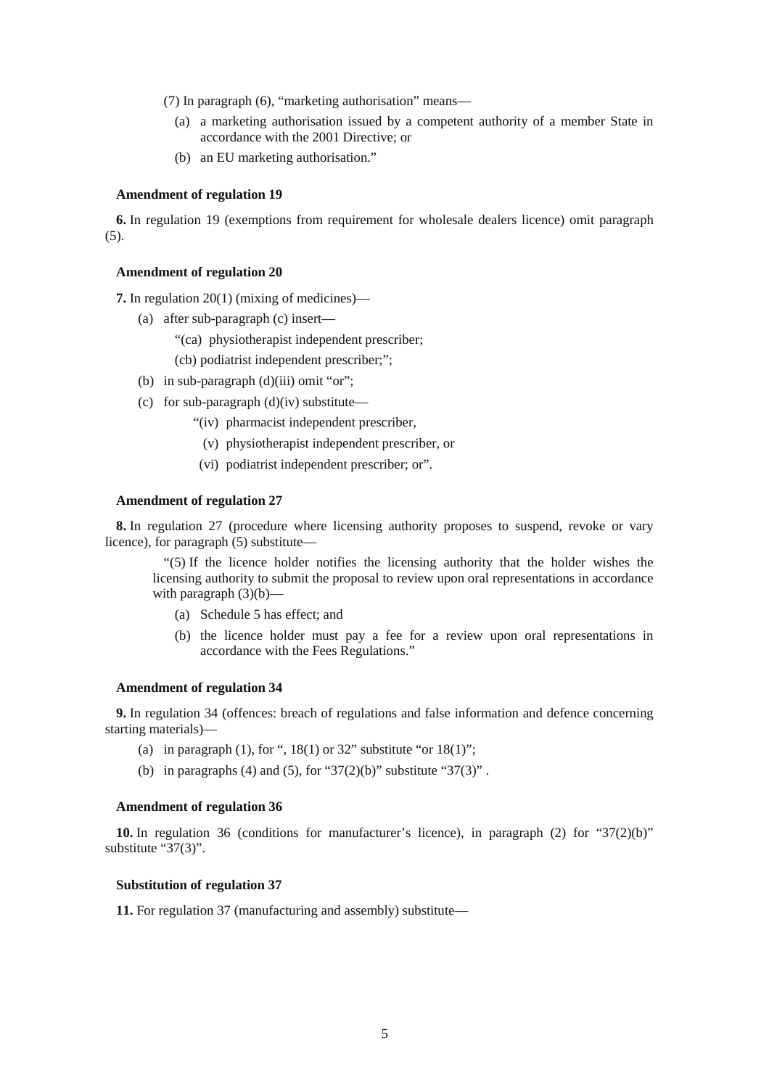(7) In paragraph (6), "marketing authorisation" means—

- (a) a marketing authorisation issued by a competent authority of a member State in accordance with the 2001 Directive; or
- (b) an EU marketing authorisation."

### **Amendment of regulation 19**

**6.** In regulation 19 (exemptions from requirement for wholesale dealers licence) omit paragraph (5).

### **Amendment of regulation 20**

**7.** In regulation 20(1) (mixing of medicines)—

- (a) after sub-paragraph (c) insert—
	- "(ca) physiotherapist independent prescriber;
	- (cb) podiatrist independent prescriber;";
- (b) in sub-paragraph (d)(iii) omit "or";
- (c) for sub-paragraph  $(d)(iv)$  substitute—
	- "(iv) pharmacist independent prescriber,
		- (v) physiotherapist independent prescriber, or
	- (vi) podiatrist independent prescriber; or".

### **Amendment of regulation 27**

**8.** In regulation 27 (procedure where licensing authority proposes to suspend, revoke or vary licence), for paragraph (5) substitute—

"(5) If the licence holder notifies the licensing authority that the holder wishes the licensing authority to submit the proposal to review upon oral representations in accordance with paragraph  $(3)(b)$ —

- (a) Schedule 5 has effect; and
- (b) the licence holder must pay a fee for a review upon oral representations in accordance with the Fees Regulations."

### **Amendment of regulation 34**

**9.** In regulation 34 (offences: breach of regulations and false information and defence concerning starting materials)—

- (a) in paragraph (1), for ",  $18(1)$  or  $32$ " substitute "or  $18(1)$ ";
- (b) in paragraphs (4) and (5), for "37(2)(b)" substitute "37(3)".

### **Amendment of regulation 36**

**10.** In regulation 36 (conditions for manufacturer's licence), in paragraph (2) for "37(2)(b)" substitute "37(3)".

### **Substitution of regulation 37**

**11.** For regulation 37 (manufacturing and assembly) substitute—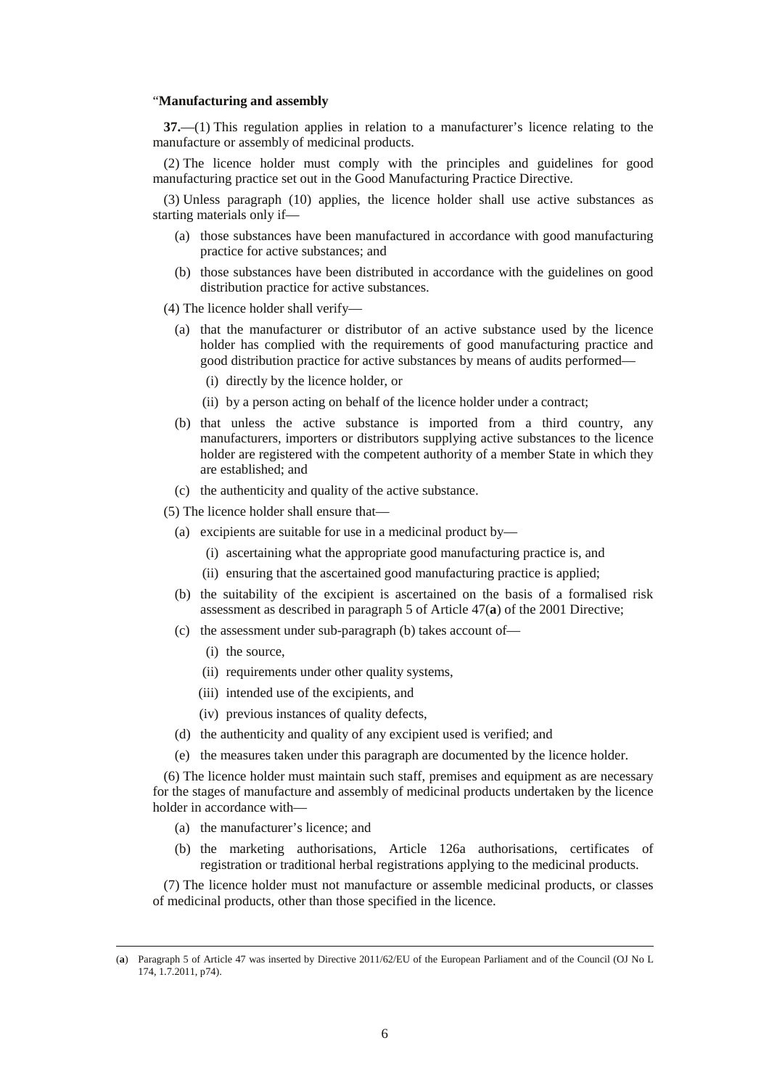#### "**Manufacturing and assembly**

**37.**—(1) This regulation applies in relation to a manufacturer's licence relating to the manufacture or assembly of medicinal products.

(2) The licence holder must comply with the principles and guidelines for good manufacturing practice set out in the Good Manufacturing Practice Directive.

(3) Unless paragraph (10) applies, the licence holder shall use active substances as starting materials only if—

- (a) those substances have been manufactured in accordance with good manufacturing practice for active substances; and
- (b) those substances have been distributed in accordance with the guidelines on good distribution practice for active substances.

(4) The licence holder shall verify—

- (a) that the manufacturer or distributor of an active substance used by the licence holder has complied with the requirements of good manufacturing practice and good distribution practice for active substances by means of audits performed—
	- (i) directly by the licence holder, or
	- (ii) by a person acting on behalf of the licence holder under a contract;
- (b) that unless the active substance is imported from a third country, any manufacturers, importers or distributors supplying active substances to the licence holder are registered with the competent authority of a member State in which they are established; and
- (c) the authenticity and quality of the active substance.

(5) The licence holder shall ensure that—

- (a) excipients are suitable for use in a medicinal product by—
	- (i) ascertaining what the appropriate good manufacturing practice is, and
	- (ii) ensuring that the ascertained good manufacturing practice is applied;
- (b) the suitability of the excipient is ascertained on the basis of a formalised risk assessment as described in paragraph 5 of Article 47(**a**) of the 2001 Directive;
- (c) the assessment under sub-paragraph (b) takes account of—
	- (i) the source,
	- (ii) requirements under other quality systems,
	- (iii) intended use of the excipients, and
	- (iv) previous instances of quality defects,
- (d) the authenticity and quality of any excipient used is verified; and
- (e) the measures taken under this paragraph are documented by the licence holder.

(6) The licence holder must maintain such staff, premises and equipment as are necessary for the stages of manufacture and assembly of medicinal products undertaken by the licence holder in accordance with—

(a) the manufacturer's licence; and

-

(b) the marketing authorisations, Article 126a authorisations, certificates of registration or traditional herbal registrations applying to the medicinal products.

(7) The licence holder must not manufacture or assemble medicinal products, or classes of medicinal products, other than those specified in the licence.

<sup>(</sup>**a**) Paragraph 5 of Article 47 was inserted by Directive 2011/62/EU of the European Parliament and of the Council (OJ No L 174, 1.7.2011, p74).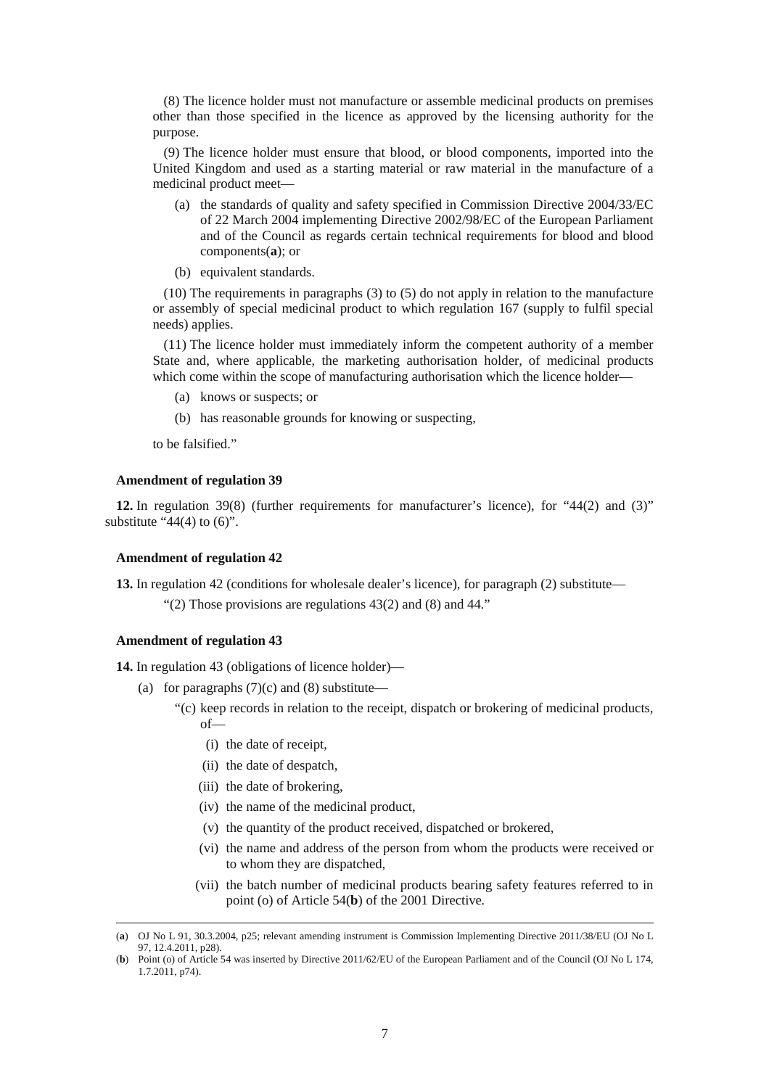(8) The licence holder must not manufacture or assemble medicinal products on premises other than those specified in the licence as approved by the licensing authority for the purpose.

(9) The licence holder must ensure that blood, or blood components, imported into the United Kingdom and used as a starting material or raw material in the manufacture of a medicinal product meet—

- (a) the standards of quality and safety specified in Commission Directive 2004/33/EC of 22 March 2004 implementing Directive 2002/98/EC of the European Parliament and of the Council as regards certain technical requirements for blood and blood components(**a**); or
- (b) equivalent standards.

(10) The requirements in paragraphs (3) to (5) do not apply in relation to the manufacture or assembly of special medicinal product to which regulation 167 (supply to fulfil special needs) applies.

(11) The licence holder must immediately inform the competent authority of a member State and, where applicable, the marketing authorisation holder, of medicinal products which come within the scope of manufacturing authorisation which the licence holder—

- (a) knows or suspects; or
- (b) has reasonable grounds for knowing or suspecting,

to be falsified."

### **Amendment of regulation 39**

**12.** In regulation 39(8) (further requirements for manufacturer's licence), for "44(2) and (3)" substitute " $44(4)$  to  $(6)$ ".

### **Amendment of regulation 42**

**13.** In regulation 42 (conditions for wholesale dealer's licence), for paragraph (2) substitute—

"(2) Those provisions are regulations  $43(2)$  and  $(8)$  and  $44$ ."

### **Amendment of regulation 43**

-

**14.** In regulation 43 (obligations of licence holder)—

- (a) for paragraphs  $(7)(c)$  and  $(8)$  substitute—
	- "(c) keep records in relation to the receipt, dispatch or brokering of medicinal products,
		- of—
		- (i) the date of receipt,
		- (ii) the date of despatch,
		- (iii) the date of brokering,
		- (iv) the name of the medicinal product,
		- (v) the quantity of the product received, dispatched or brokered,
		- (vi) the name and address of the person from whom the products were received or to whom they are dispatched,
		- (vii) the batch number of medicinal products bearing safety features referred to in point (o) of Article 54(**b**) of the 2001 Directive*.*

<sup>(</sup>**a**) OJ No L 91, 30.3.2004, p25; relevant amending instrument is Commission Implementing Directive 2011/38/EU (OJ No L 97, 12.4.2011, p28).

<sup>(</sup>**b**) Point (o) of Article 54 was inserted by Directive 2011/62/EU of the European Parliament and of the Council (OJ No L 174, 1.7.2011, p74).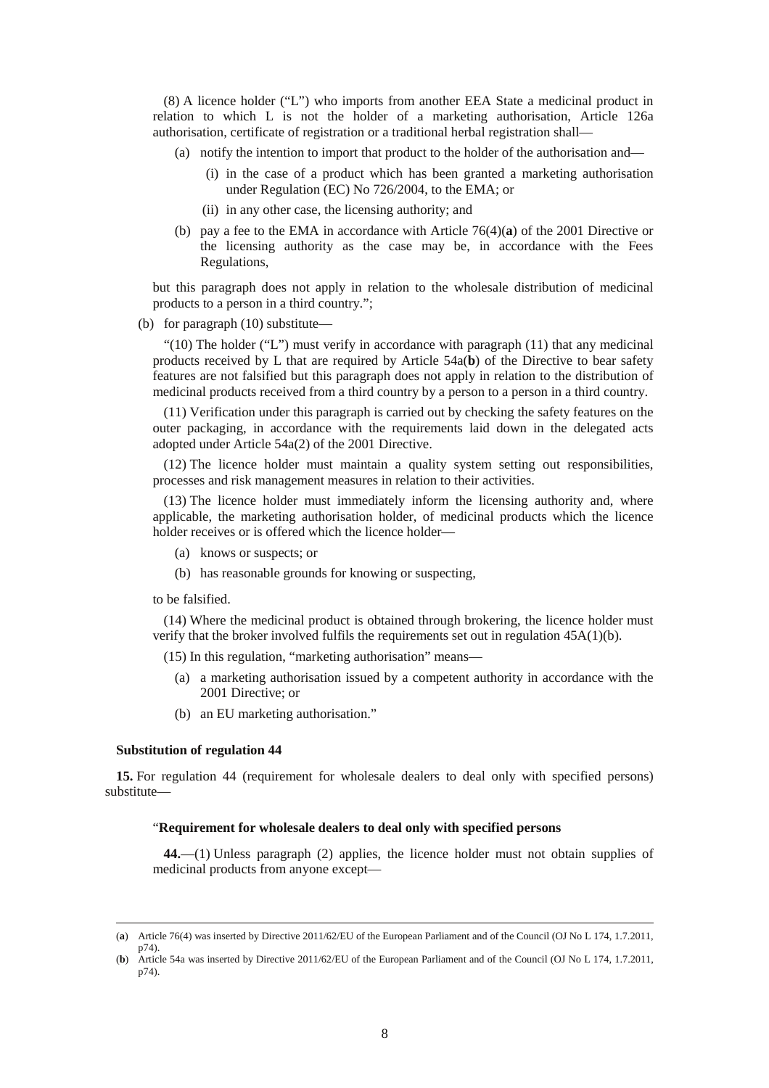(8) A licence holder ("L") who imports from another EEA State a medicinal product in relation to which L is not the holder of a marketing authorisation, Article 126a authorisation, certificate of registration or a traditional herbal registration shall—

- (a) notify the intention to import that product to the holder of the authorisation and—
	- (i) in the case of a product which has been granted a marketing authorisation under Regulation (EC) No 726/2004, to the EMA; or
	- (ii) in any other case, the licensing authority; and
- (b) pay a fee to the EMA in accordance with Article 76(4)(**a**) of the 2001 Directive or the licensing authority as the case may be, in accordance with the Fees Regulations,

but this paragraph does not apply in relation to the wholesale distribution of medicinal products to a person in a third country.";

(b) for paragraph (10) substitute—

"(10) The holder ("L") must verify in accordance with paragraph (11) that any medicinal products received by L that are required by Article 54a(**b**) of the Directive to bear safety features are not falsified but this paragraph does not apply in relation to the distribution of medicinal products received from a third country by a person to a person in a third country.

(11) Verification under this paragraph is carried out by checking the safety features on the outer packaging, in accordance with the requirements laid down in the delegated acts adopted under Article 54a(2) of the 2001 Directive.

(12) The licence holder must maintain a quality system setting out responsibilities, processes and risk management measures in relation to their activities.

(13) The licence holder must immediately inform the licensing authority and, where applicable, the marketing authorisation holder, of medicinal products which the licence holder receives or is offered which the licence holder—

- (a) knows or suspects; or
- (b) has reasonable grounds for knowing or suspecting,

to be falsified.

(14) Where the medicinal product is obtained through brokering, the licence holder must verify that the broker involved fulfils the requirements set out in regulation 45A(1)(b).

(15) In this regulation, "marketing authorisation" means—

- (a) a marketing authorisation issued by a competent authority in accordance with the 2001 Directive; or
- (b) an EU marketing authorisation."

#### **Substitution of regulation 44**

-

**15.** For regulation 44 (requirement for wholesale dealers to deal only with specified persons) substitute—

### "**Requirement for wholesale dealers to deal only with specified persons**

**44.**—(1) Unless paragraph (2) applies, the licence holder must not obtain supplies of medicinal products from anyone except—

<sup>(</sup>**a**) Article 76(4) was inserted by Directive 2011/62/EU of the European Parliament and of the Council (OJ No L 174, 1.7.2011, p74).

<sup>(</sup>**b**) Article 54a was inserted by Directive 2011/62/EU of the European Parliament and of the Council (OJ No L 174, 1.7.2011, p74).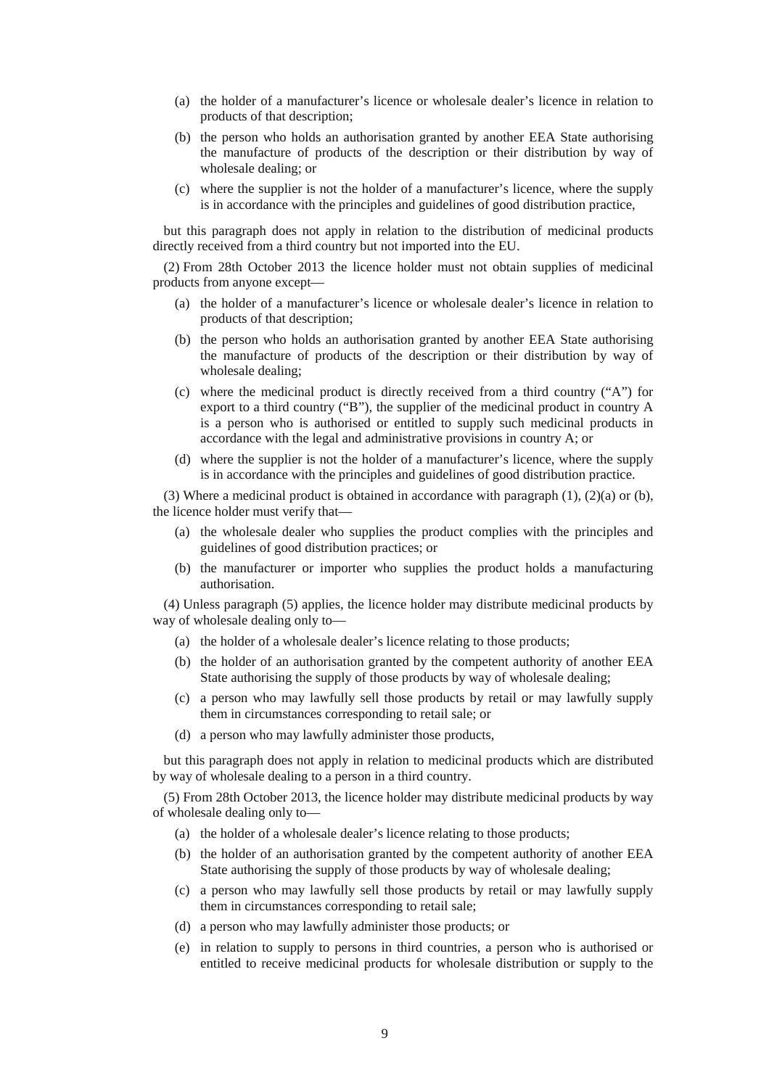- (a) the holder of a manufacturer's licence or wholesale dealer's licence in relation to products of that description;
- (b) the person who holds an authorisation granted by another EEA State authorising the manufacture of products of the description or their distribution by way of wholesale dealing; or
- (c) where the supplier is not the holder of a manufacturer's licence, where the supply is in accordance with the principles and guidelines of good distribution practice,

but this paragraph does not apply in relation to the distribution of medicinal products directly received from a third country but not imported into the EU.

(2) From 28th October 2013 the licence holder must not obtain supplies of medicinal products from anyone except—

- (a) the holder of a manufacturer's licence or wholesale dealer's licence in relation to products of that description;
- (b) the person who holds an authorisation granted by another EEA State authorising the manufacture of products of the description or their distribution by way of wholesale dealing;
- (c) where the medicinal product is directly received from a third country ("A") for export to a third country ("B"), the supplier of the medicinal product in country A is a person who is authorised or entitled to supply such medicinal products in accordance with the legal and administrative provisions in country A; or
- (d) where the supplier is not the holder of a manufacturer's licence, where the supply is in accordance with the principles and guidelines of good distribution practice.

(3) Where a medicinal product is obtained in accordance with paragraph (1), (2)(a) or (b), the licence holder must verify that—

- (a) the wholesale dealer who supplies the product complies with the principles and guidelines of good distribution practices; or
- (b) the manufacturer or importer who supplies the product holds a manufacturing authorisation.

(4) Unless paragraph (5) applies, the licence holder may distribute medicinal products by way of wholesale dealing only to—

- (a) the holder of a wholesale dealer's licence relating to those products;
- (b) the holder of an authorisation granted by the competent authority of another EEA State authorising the supply of those products by way of wholesale dealing;
- (c) a person who may lawfully sell those products by retail or may lawfully supply them in circumstances corresponding to retail sale; or
- (d) a person who may lawfully administer those products,

but this paragraph does not apply in relation to medicinal products which are distributed by way of wholesale dealing to a person in a third country.

(5) From 28th October 2013, the licence holder may distribute medicinal products by way of wholesale dealing only to—

- (a) the holder of a wholesale dealer's licence relating to those products;
- (b) the holder of an authorisation granted by the competent authority of another EEA State authorising the supply of those products by way of wholesale dealing;
- (c) a person who may lawfully sell those products by retail or may lawfully supply them in circumstances corresponding to retail sale;
- (d) a person who may lawfully administer those products; or
- (e) in relation to supply to persons in third countries, a person who is authorised or entitled to receive medicinal products for wholesale distribution or supply to the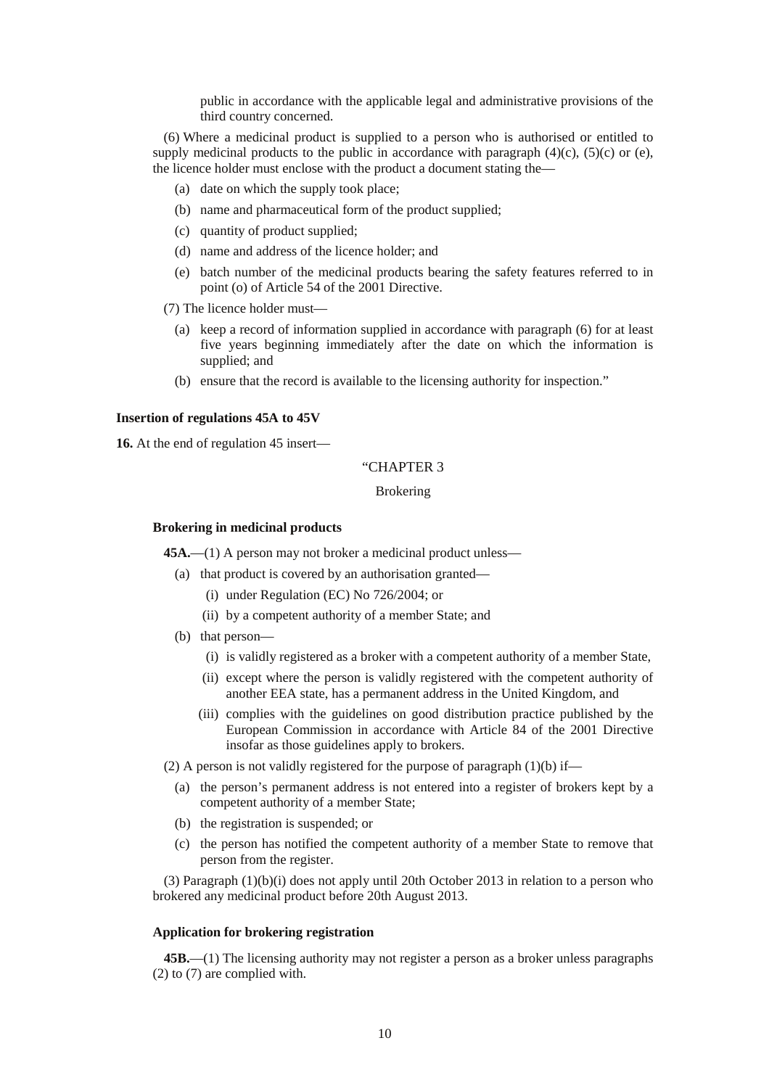public in accordance with the applicable legal and administrative provisions of the third country concerned.

(6) Where a medicinal product is supplied to a person who is authorised or entitled to supply medicinal products to the public in accordance with paragraph  $(4)(c)$ ,  $(5)(c)$  or (e), the licence holder must enclose with the product a document stating the—

- (a) date on which the supply took place;
- (b) name and pharmaceutical form of the product supplied;
- (c) quantity of product supplied;
- (d) name and address of the licence holder; and
- (e) batch number of the medicinal products bearing the safety features referred to in point (o) of Article 54 of the 2001 Directive.
- (7) The licence holder must—
	- (a) keep a record of information supplied in accordance with paragraph (6) for at least five years beginning immediately after the date on which the information is supplied; and
	- (b) ensure that the record is available to the licensing authority for inspection."

### **Insertion of regulations 45A to 45V**

**16.** At the end of regulation 45 insert—

### "CHAPTER 3

### Brokering

#### **Brokering in medicinal products**

**45A.**—(1) A person may not broker a medicinal product unless—

- (a) that product is covered by an authorisation granted—
	- (i) under Regulation (EC) No 726/2004; or
	- (ii) by a competent authority of a member State; and
- (b) that person—
	- (i) is validly registered as a broker with a competent authority of a member State,
	- (ii) except where the person is validly registered with the competent authority of another EEA state, has a permanent address in the United Kingdom, and
	- (iii) complies with the guidelines on good distribution practice published by the European Commission in accordance with Article 84 of the 2001 Directive insofar as those guidelines apply to brokers.
- (2) A person is not validly registered for the purpose of paragraph  $(1)(b)$  if—
	- (a) the person's permanent address is not entered into a register of brokers kept by a competent authority of a member State;
	- (b) the registration is suspended; or
	- (c) the person has notified the competent authority of a member State to remove that person from the register.

(3) Paragraph (1)(b)(i) does not apply until 20th October 2013 in relation to a person who brokered any medicinal product before 20th August 2013.

### **Application for brokering registration**

**45B.**—(1) The licensing authority may not register a person as a broker unless paragraphs (2) to (7) are complied with.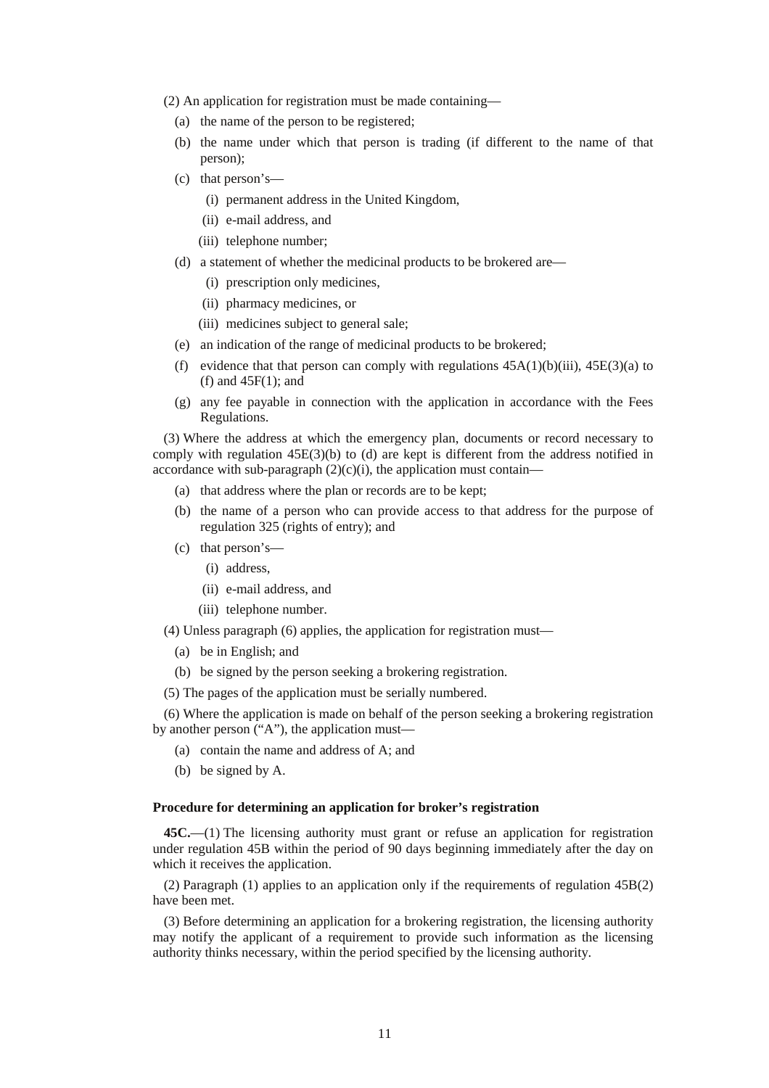(2) An application for registration must be made containing—

- (a) the name of the person to be registered;
- (b) the name under which that person is trading (if different to the name of that person);
- (c) that person's—
	- (i) permanent address in the United Kingdom,
	- (ii) e-mail address, and
	- (iii) telephone number;
- (d) a statement of whether the medicinal products to be brokered are—
	- (i) prescription only medicines,
	- (ii) pharmacy medicines, or
	- (iii) medicines subject to general sale;
- (e) an indication of the range of medicinal products to be brokered;
- (f) evidence that that person can comply with regulations  $45A(1)(b)(iii)$ ,  $45E(3)(a)$  to (f) and 45F(1); and
- (g) any fee payable in connection with the application in accordance with the Fees Regulations.

(3) Where the address at which the emergency plan, documents or record necessary to comply with regulation  $45E(3)(b)$  to (d) are kept is different from the address notified in accordance with sub-paragraph  $(2)(c)(i)$ , the application must contain—

- (a) that address where the plan or records are to be kept;
- (b) the name of a person who can provide access to that address for the purpose of regulation 325 (rights of entry); and
- (c) that person's—
	- (i) address,
	- (ii) e-mail address, and
	- (iii) telephone number.
- (4) Unless paragraph (6) applies, the application for registration must—
	- (a) be in English; and
	- (b) be signed by the person seeking a brokering registration.

(5) The pages of the application must be serially numbered.

(6) Where the application is made on behalf of the person seeking a brokering registration by another person ("A"), the application must—

- (a) contain the name and address of A; and
- (b) be signed by A.

### **Procedure for determining an application for broker's registration**

**45C.**—(1) The licensing authority must grant or refuse an application for registration under regulation 45B within the period of 90 days beginning immediately after the day on which it receives the application.

(2) Paragraph (1) applies to an application only if the requirements of regulation  $45B(2)$ have been met.

(3) Before determining an application for a brokering registration, the licensing authority may notify the applicant of a requirement to provide such information as the licensing authority thinks necessary, within the period specified by the licensing authority.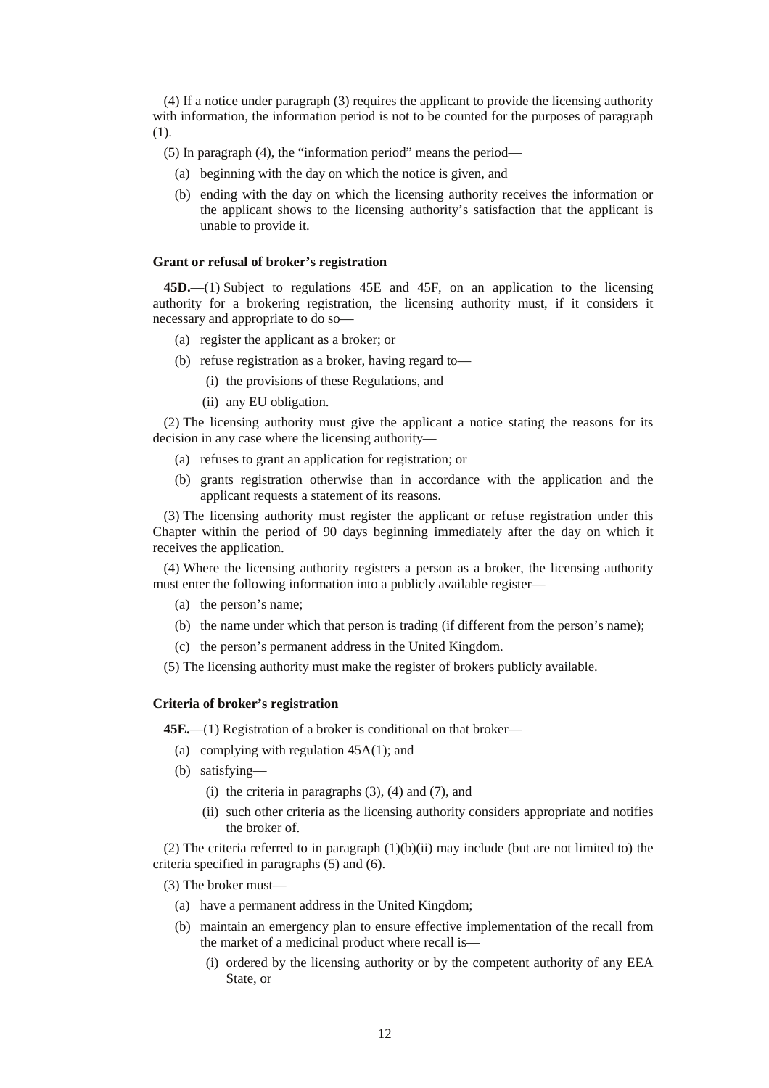(4) If a notice under paragraph (3) requires the applicant to provide the licensing authority with information, the information period is not to be counted for the purposes of paragraph (1).

 $(5)$  In paragraph  $(4)$ , the "information period" means the period—

- (a) beginning with the day on which the notice is given, and
- (b) ending with the day on which the licensing authority receives the information or the applicant shows to the licensing authority's satisfaction that the applicant is unable to provide it.

### **Grant or refusal of broker's registration**

**45D.**—(1) Subject to regulations 45E and 45F, on an application to the licensing authority for a brokering registration, the licensing authority must, if it considers it necessary and appropriate to do so—

- (a) register the applicant as a broker; or
- (b) refuse registration as a broker, having regard to—
	- (i) the provisions of these Regulations, and
	- (ii) any EU obligation.

(2) The licensing authority must give the applicant a notice stating the reasons for its decision in any case where the licensing authority—

- (a) refuses to grant an application for registration; or
- (b) grants registration otherwise than in accordance with the application and the applicant requests a statement of its reasons.

(3) The licensing authority must register the applicant or refuse registration under this Chapter within the period of 90 days beginning immediately after the day on which it receives the application.

(4) Where the licensing authority registers a person as a broker, the licensing authority must enter the following information into a publicly available register—

- (a) the person's name;
- (b) the name under which that person is trading (if different from the person's name);
- (c) the person's permanent address in the United Kingdom.

(5) The licensing authority must make the register of brokers publicly available.

### **Criteria of broker's registration**

**45E.**—(1) Registration of a broker is conditional on that broker—

- (a) complying with regulation 45A(1); and
- (b) satisfying—
	- (i) the criteria in paragraphs (3), (4) and (7), and
	- (ii) such other criteria as the licensing authority considers appropriate and notifies the broker of.

(2) The criteria referred to in paragraph  $(1)(b)(ii)$  may include (but are not limited to) the criteria specified in paragraphs (5) and (6).

(3) The broker must—

- (a) have a permanent address in the United Kingdom;
- (b) maintain an emergency plan to ensure effective implementation of the recall from the market of a medicinal product where recall is—
	- (i) ordered by the licensing authority or by the competent authority of any EEA State, or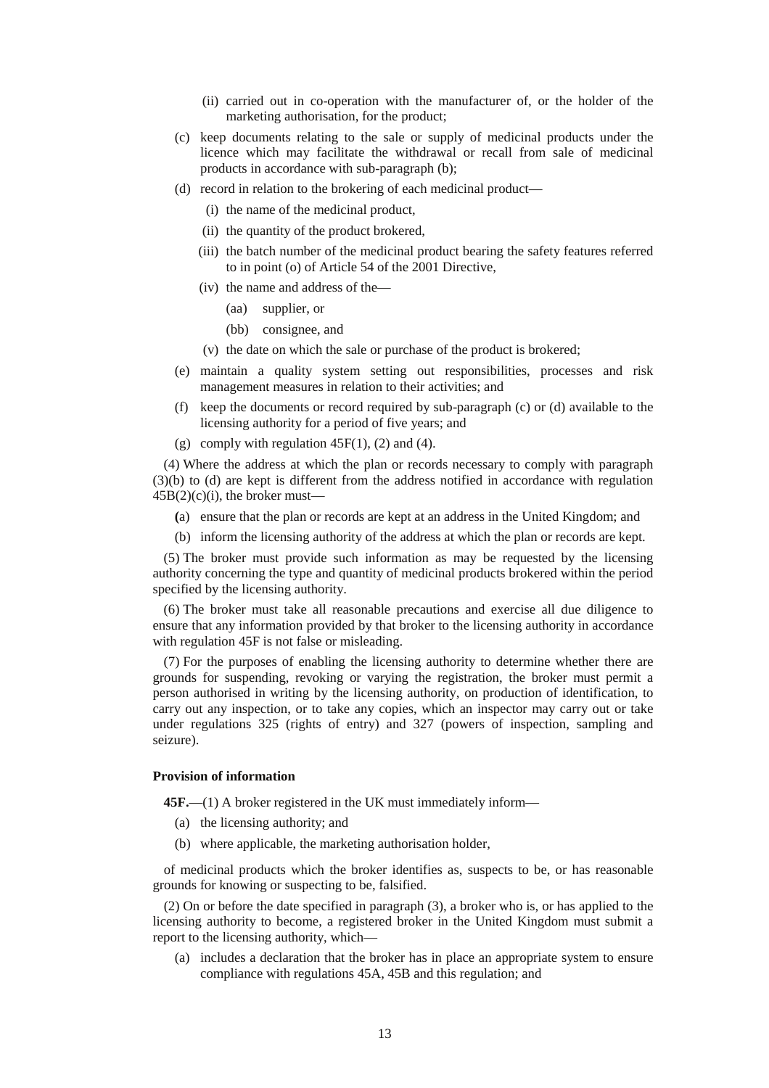- (ii) carried out in co-operation with the manufacturer of, or the holder of the marketing authorisation, for the product;
- (c) keep documents relating to the sale or supply of medicinal products under the licence which may facilitate the withdrawal or recall from sale of medicinal products in accordance with sub-paragraph (b);
- (d) record in relation to the brokering of each medicinal product—
	- (i) the name of the medicinal product,
	- (ii) the quantity of the product brokered,
	- (iii) the batch number of the medicinal product bearing the safety features referred to in point (o) of Article 54 of the 2001 Directive,
	- (iv) the name and address of the—
		- (aa) supplier, or
		- (bb) consignee, and
	- (v) the date on which the sale or purchase of the product is brokered;
- (e) maintain a quality system setting out responsibilities, processes and risk management measures in relation to their activities; and
- (f) keep the documents or record required by sub-paragraph (c) or (d) available to the licensing authority for a period of five years; and
- (g) comply with regulation  $45F(1)$ , (2) and (4).

(4) Where the address at which the plan or records necessary to comply with paragraph (3)(b) to (d) are kept is different from the address notified in accordance with regulation  $45B(2)(c)(i)$ , the broker must—

- **(**a) ensure that the plan or records are kept at an address in the United Kingdom; and
- (b) inform the licensing authority of the address at which the plan or records are kept.

(5) The broker must provide such information as may be requested by the licensing authority concerning the type and quantity of medicinal products brokered within the period specified by the licensing authority.

(6) The broker must take all reasonable precautions and exercise all due diligence to ensure that any information provided by that broker to the licensing authority in accordance with regulation 45F is not false or misleading.

(7) For the purposes of enabling the licensing authority to determine whether there are grounds for suspending, revoking or varying the registration, the broker must permit a person authorised in writing by the licensing authority, on production of identification, to carry out any inspection, or to take any copies, which an inspector may carry out or take under regulations 325 (rights of entry) and 327 (powers of inspection, sampling and seizure).

#### **Provision of information**

**45F.**—(1) A broker registered in the UK must immediately inform—

- (a) the licensing authority; and
- (b) where applicable, the marketing authorisation holder,

of medicinal products which the broker identifies as, suspects to be, or has reasonable grounds for knowing or suspecting to be, falsified.

(2) On or before the date specified in paragraph (3), a broker who is, or has applied to the licensing authority to become, a registered broker in the United Kingdom must submit a report to the licensing authority, which—

(a) includes a declaration that the broker has in place an appropriate system to ensure compliance with regulations 45A, 45B and this regulation; and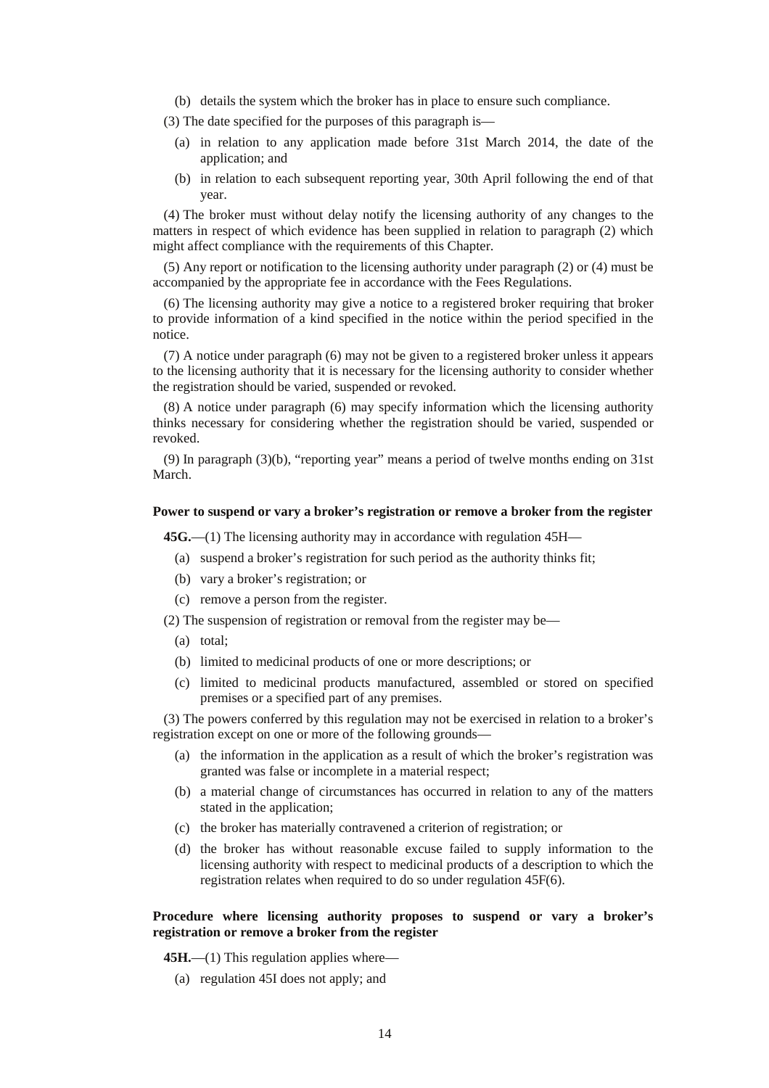(b) details the system which the broker has in place to ensure such compliance.

(3) The date specified for the purposes of this paragraph is—

- (a) in relation to any application made before 31st March 2014, the date of the application; and
- (b) in relation to each subsequent reporting year, 30th April following the end of that year.

(4) The broker must without delay notify the licensing authority of any changes to the matters in respect of which evidence has been supplied in relation to paragraph (2) which might affect compliance with the requirements of this Chapter.

(5) Any report or notification to the licensing authority under paragraph (2) or (4) must be accompanied by the appropriate fee in accordance with the Fees Regulations.

(6) The licensing authority may give a notice to a registered broker requiring that broker to provide information of a kind specified in the notice within the period specified in the notice.

(7) A notice under paragraph (6) may not be given to a registered broker unless it appears to the licensing authority that it is necessary for the licensing authority to consider whether the registration should be varied, suspended or revoked.

(8) A notice under paragraph (6) may specify information which the licensing authority thinks necessary for considering whether the registration should be varied, suspended or revoked.

(9) In paragraph (3)(b), "reporting year" means a period of twelve months ending on 31st March.

### **Power to suspend or vary a broker's registration or remove a broker from the register**

**45G.**—(1) The licensing authority may in accordance with regulation 45H—

- (a) suspend a broker's registration for such period as the authority thinks fit;
- (b) vary a broker's registration; or
- (c) remove a person from the register.

(2) The suspension of registration or removal from the register may be—

- (a) total;
- (b) limited to medicinal products of one or more descriptions; or
- (c) limited to medicinal products manufactured, assembled or stored on specified premises or a specified part of any premises.

(3) The powers conferred by this regulation may not be exercised in relation to a broker's registration except on one or more of the following grounds—

- (a) the information in the application as a result of which the broker's registration was granted was false or incomplete in a material respect;
- (b) a material change of circumstances has occurred in relation to any of the matters stated in the application;
- (c) the broker has materially contravened a criterion of registration; or
- (d) the broker has without reasonable excuse failed to supply information to the licensing authority with respect to medicinal products of a description to which the registration relates when required to do so under regulation 45F(6).

### **Procedure where licensing authority proposes to suspend or vary a broker's registration or remove a broker from the register**

**45H.**—(1) This regulation applies where—

(a) regulation 45I does not apply; and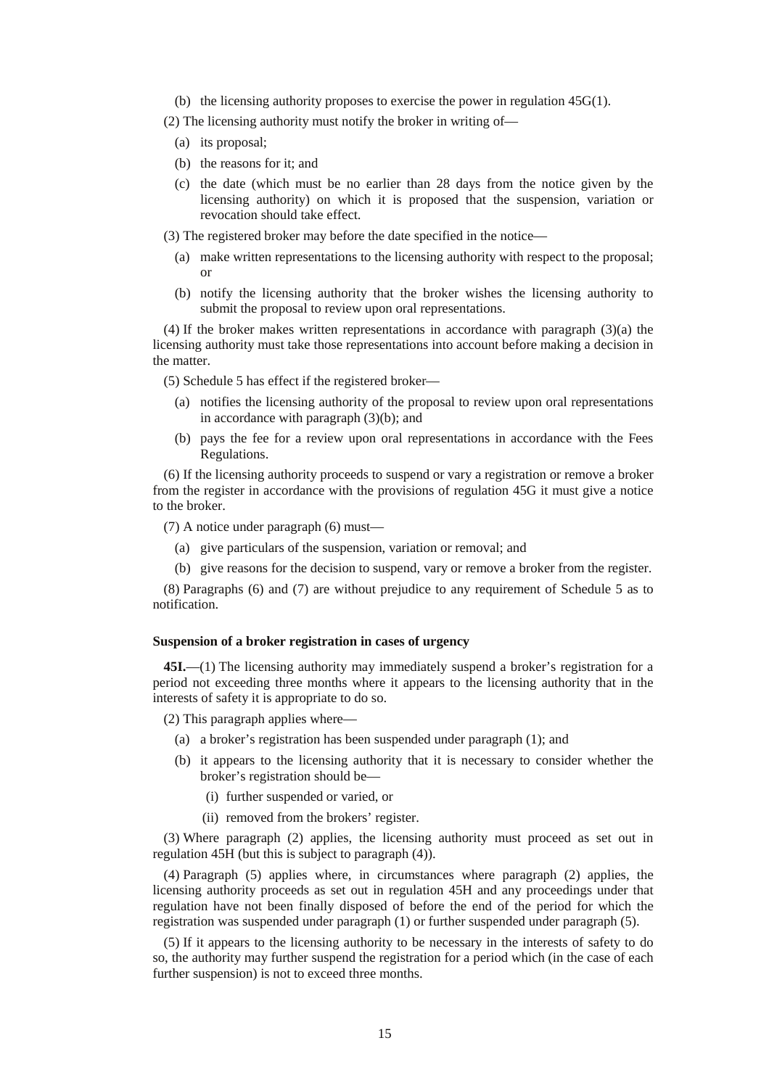- (b) the licensing authority proposes to exercise the power in regulation  $45G(1)$ .
- (2) The licensing authority must notify the broker in writing of—
	- (a) its proposal;
	- (b) the reasons for it; and
	- (c) the date (which must be no earlier than 28 days from the notice given by the licensing authority) on which it is proposed that the suspension, variation or revocation should take effect.

(3) The registered broker may before the date specified in the notice—

- (a) make written representations to the licensing authority with respect to the proposal; or
- (b) notify the licensing authority that the broker wishes the licensing authority to submit the proposal to review upon oral representations.

(4) If the broker makes written representations in accordance with paragraph (3)(a) the licensing authority must take those representations into account before making a decision in the matter.

(5) Schedule 5 has effect if the registered broker—

- (a) notifies the licensing authority of the proposal to review upon oral representations in accordance with paragraph (3)(b); and
- (b) pays the fee for a review upon oral representations in accordance with the Fees Regulations.

(6) If the licensing authority proceeds to suspend or vary a registration or remove a broker from the register in accordance with the provisions of regulation 45G it must give a notice to the broker.

(7) A notice under paragraph (6) must—

- (a) give particulars of the suspension, variation or removal; and
- (b) give reasons for the decision to suspend, vary or remove a broker from the register.

(8) Paragraphs (6) and (7) are without prejudice to any requirement of Schedule 5 as to notification.

### **Suspension of a broker registration in cases of urgency**

**45I.**—(1) The licensing authority may immediately suspend a broker's registration for a period not exceeding three months where it appears to the licensing authority that in the interests of safety it is appropriate to do so.

(2) This paragraph applies where—

- (a) a broker's registration has been suspended under paragraph (1); and
- (b) it appears to the licensing authority that it is necessary to consider whether the broker's registration should be—
	- (i) further suspended or varied, or
	- (ii) removed from the brokers' register.

(3) Where paragraph (2) applies, the licensing authority must proceed as set out in regulation 45H (but this is subject to paragraph (4)).

(4) Paragraph (5) applies where, in circumstances where paragraph (2) applies, the licensing authority proceeds as set out in regulation 45H and any proceedings under that regulation have not been finally disposed of before the end of the period for which the registration was suspended under paragraph (1) or further suspended under paragraph (5).

(5) If it appears to the licensing authority to be necessary in the interests of safety to do so, the authority may further suspend the registration for a period which (in the case of each further suspension) is not to exceed three months.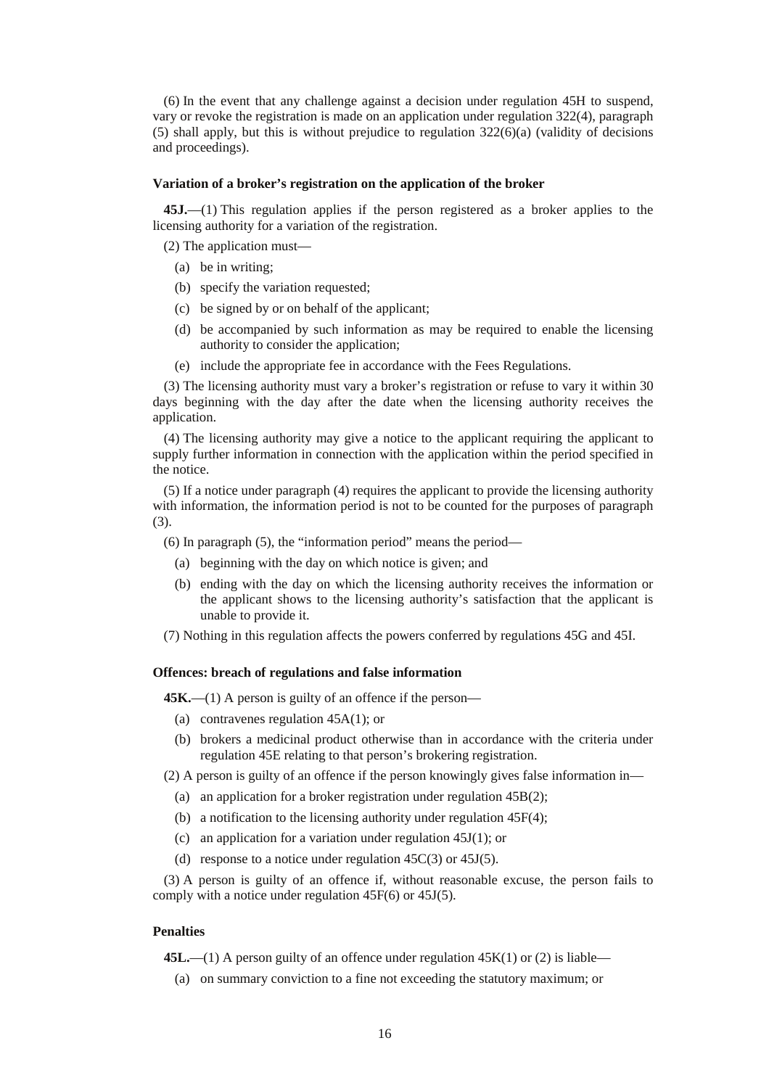(6) In the event that any challenge against a decision under regulation 45H to suspend, vary or revoke the registration is made on an application under regulation 322(4), paragraph (5) shall apply, but this is without prejudice to regulation 322(6)(a) (validity of decisions and proceedings).

### **Variation of a broker's registration on the application of the broker**

**45J.**—(1) This regulation applies if the person registered as a broker applies to the licensing authority for a variation of the registration.

(2) The application must—

- (a) be in writing;
- (b) specify the variation requested;
- (c) be signed by or on behalf of the applicant;
- (d) be accompanied by such information as may be required to enable the licensing authority to consider the application;
- (e) include the appropriate fee in accordance with the Fees Regulations.

(3) The licensing authority must vary a broker's registration or refuse to vary it within 30 days beginning with the day after the date when the licensing authority receives the application.

(4) The licensing authority may give a notice to the applicant requiring the applicant to supply further information in connection with the application within the period specified in the notice.

(5) If a notice under paragraph (4) requires the applicant to provide the licensing authority with information, the information period is not to be counted for the purposes of paragraph (3).

 $(6)$  In paragraph  $(5)$ , the "information period" means the period—

- (a) beginning with the day on which notice is given; and
- (b) ending with the day on which the licensing authority receives the information or the applicant shows to the licensing authority's satisfaction that the applicant is unable to provide it.
- (7) Nothing in this regulation affects the powers conferred by regulations 45G and 45I.

#### **Offences: breach of regulations and false information**

**45K.**—(1) A person is guilty of an offence if the person—

- (a) contravenes regulation 45A(1); or
- (b) brokers a medicinal product otherwise than in accordance with the criteria under regulation 45E relating to that person's brokering registration.

(2) A person is guilty of an offence if the person knowingly gives false information in—

- (a) an application for a broker registration under regulation 45B(2);
- (b) a notification to the licensing authority under regulation 45F(4);
- (c) an application for a variation under regulation 45J(1); or
- (d) response to a notice under regulation 45C(3) or 45J(5).

(3) A person is guilty of an offence if, without reasonable excuse, the person fails to comply with a notice under regulation 45F(6) or 45J(5).

#### **Penalties**

**45L.**—(1) A person guilty of an offence under regulation 45K(1) or (2) is liable—

(a) on summary conviction to a fine not exceeding the statutory maximum; or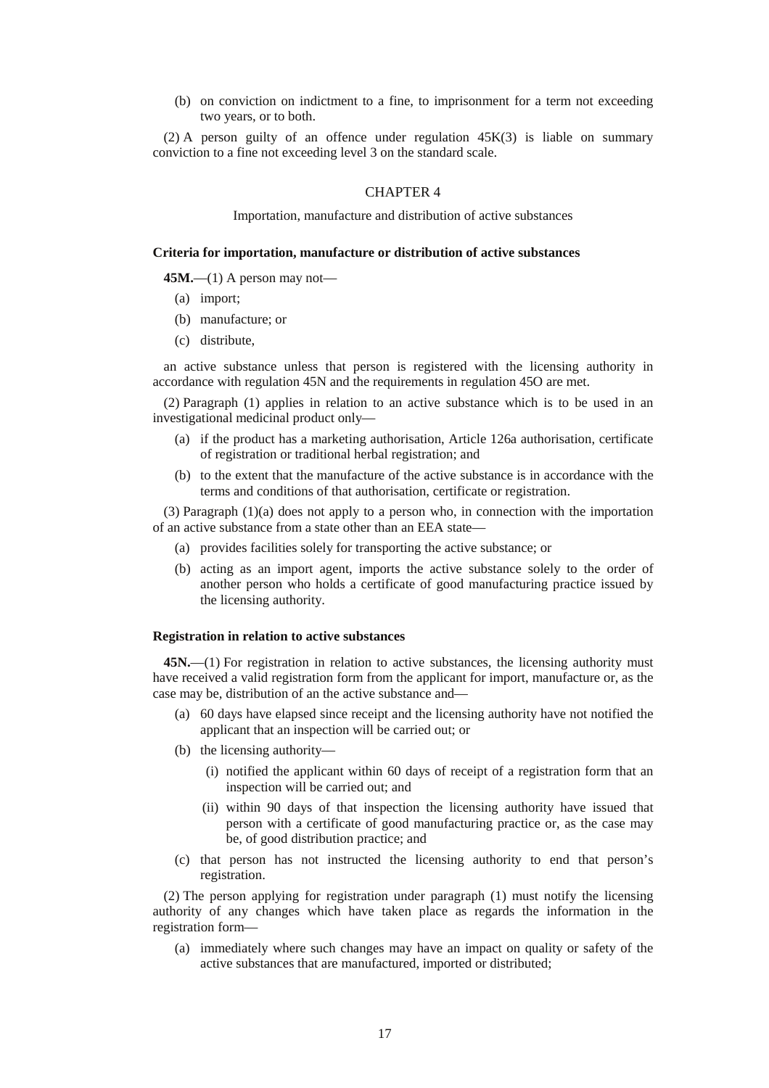(b) on conviction on indictment to a fine, to imprisonment for a term not exceeding two years, or to both.

(2) A person guilty of an offence under regulation  $45K(3)$  is liable on summary conviction to a fine not exceeding level 3 on the standard scale.

### CHAPTER 4

Importation, manufacture and distribution of active substances

#### **Criteria for importation, manufacture or distribution of active substances**

 $45M$ ,—(1) A person may not—

- (a) import;
- (b) manufacture; or
- (c) distribute,

an active substance unless that person is registered with the licensing authority in accordance with regulation 45N and the requirements in regulation 45O are met.

(2) Paragraph (1) applies in relation to an active substance which is to be used in an investigational medicinal product only—

- (a) if the product has a marketing authorisation, Article 126a authorisation, certificate of registration or traditional herbal registration; and
- (b) to the extent that the manufacture of the active substance is in accordance with the terms and conditions of that authorisation, certificate or registration.

(3) Paragraph (1)(a) does not apply to a person who, in connection with the importation of an active substance from a state other than an EEA state—

- (a) provides facilities solely for transporting the active substance; or
- (b) acting as an import agent, imports the active substance solely to the order of another person who holds a certificate of good manufacturing practice issued by the licensing authority.

#### **Registration in relation to active substances**

**45N.**—(1) For registration in relation to active substances, the licensing authority must have received a valid registration form from the applicant for import, manufacture or, as the case may be, distribution of an the active substance and—

- (a) 60 days have elapsed since receipt and the licensing authority have not notified the applicant that an inspection will be carried out; or
- (b) the licensing authority—
	- (i) notified the applicant within 60 days of receipt of a registration form that an inspection will be carried out; and
	- (ii) within 90 days of that inspection the licensing authority have issued that person with a certificate of good manufacturing practice or, as the case may be, of good distribution practice; and
- (c) that person has not instructed the licensing authority to end that person's registration.

(2) The person applying for registration under paragraph (1) must notify the licensing authority of any changes which have taken place as regards the information in the registration form—

(a) immediately where such changes may have an impact on quality or safety of the active substances that are manufactured, imported or distributed;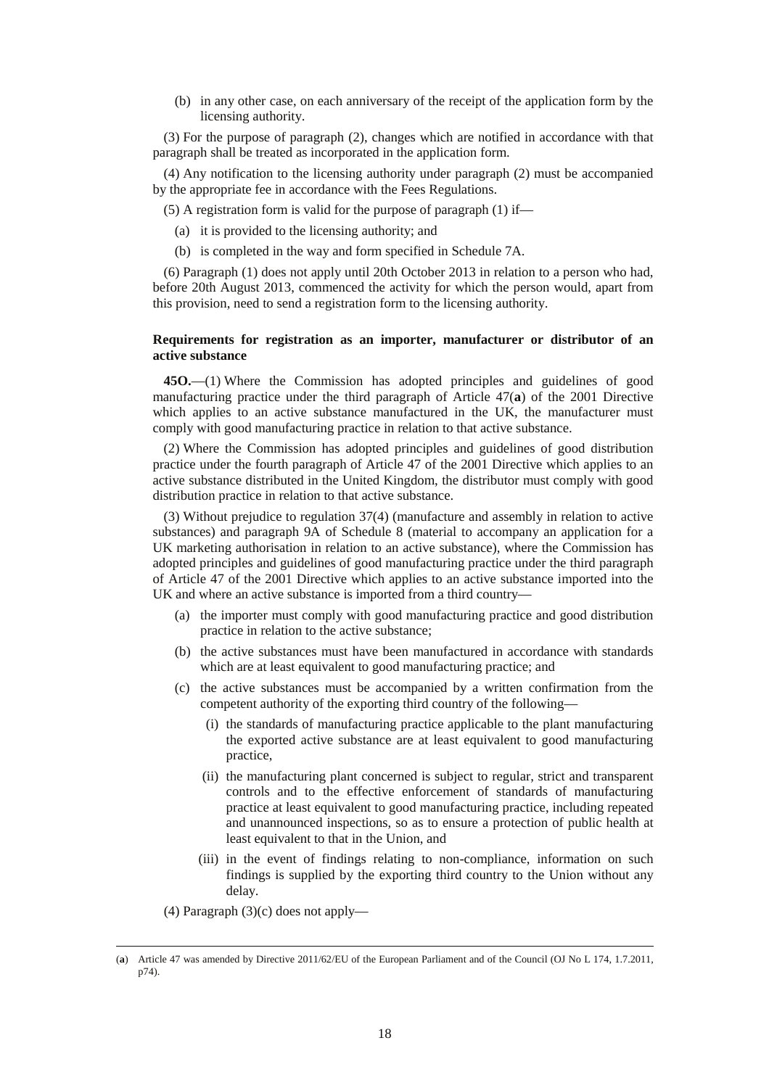(b) in any other case, on each anniversary of the receipt of the application form by the licensing authority.

(3) For the purpose of paragraph (2), changes which are notified in accordance with that paragraph shall be treated as incorporated in the application form.

(4) Any notification to the licensing authority under paragraph (2) must be accompanied by the appropriate fee in accordance with the Fees Regulations.

(5) A registration form is valid for the purpose of paragraph (1) if—

- (a) it is provided to the licensing authority; and
- (b) is completed in the way and form specified in Schedule 7A.

(6) Paragraph (1) does not apply until 20th October 2013 in relation to a person who had, before 20th August 2013, commenced the activity for which the person would, apart from this provision, need to send a registration form to the licensing authority.

### **Requirements for registration as an importer, manufacturer or distributor of an active substance**

**45O.**—(1) Where the Commission has adopted principles and guidelines of good manufacturing practice under the third paragraph of Article 47(**a**) of the 2001 Directive which applies to an active substance manufactured in the UK, the manufacturer must comply with good manufacturing practice in relation to that active substance.

(2) Where the Commission has adopted principles and guidelines of good distribution practice under the fourth paragraph of Article 47 of the 2001 Directive which applies to an active substance distributed in the United Kingdom, the distributor must comply with good distribution practice in relation to that active substance.

(3) Without prejudice to regulation 37(4) (manufacture and assembly in relation to active substances) and paragraph 9A of Schedule 8 (material to accompany an application for a UK marketing authorisation in relation to an active substance), where the Commission has adopted principles and guidelines of good manufacturing practice under the third paragraph of Article 47 of the 2001 Directive which applies to an active substance imported into the UK and where an active substance is imported from a third country—

- (a) the importer must comply with good manufacturing practice and good distribution practice in relation to the active substance;
- (b) the active substances must have been manufactured in accordance with standards which are at least equivalent to good manufacturing practice; and
- (c) the active substances must be accompanied by a written confirmation from the competent authority of the exporting third country of the following—
	- (i) the standards of manufacturing practice applicable to the plant manufacturing the exported active substance are at least equivalent to good manufacturing practice,
	- (ii) the manufacturing plant concerned is subject to regular, strict and transparent controls and to the effective enforcement of standards of manufacturing practice at least equivalent to good manufacturing practice, including repeated and unannounced inspections, so as to ensure a protection of public health at least equivalent to that in the Union, and
	- (iii) in the event of findings relating to non-compliance, information on such findings is supplied by the exporting third country to the Union without any delay.
- (4) Paragraph (3)(c) does not apply—

<sup>(</sup>**a**) Article 47 was amended by Directive 2011/62/EU of the European Parliament and of the Council (OJ No L 174, 1.7.2011, p74).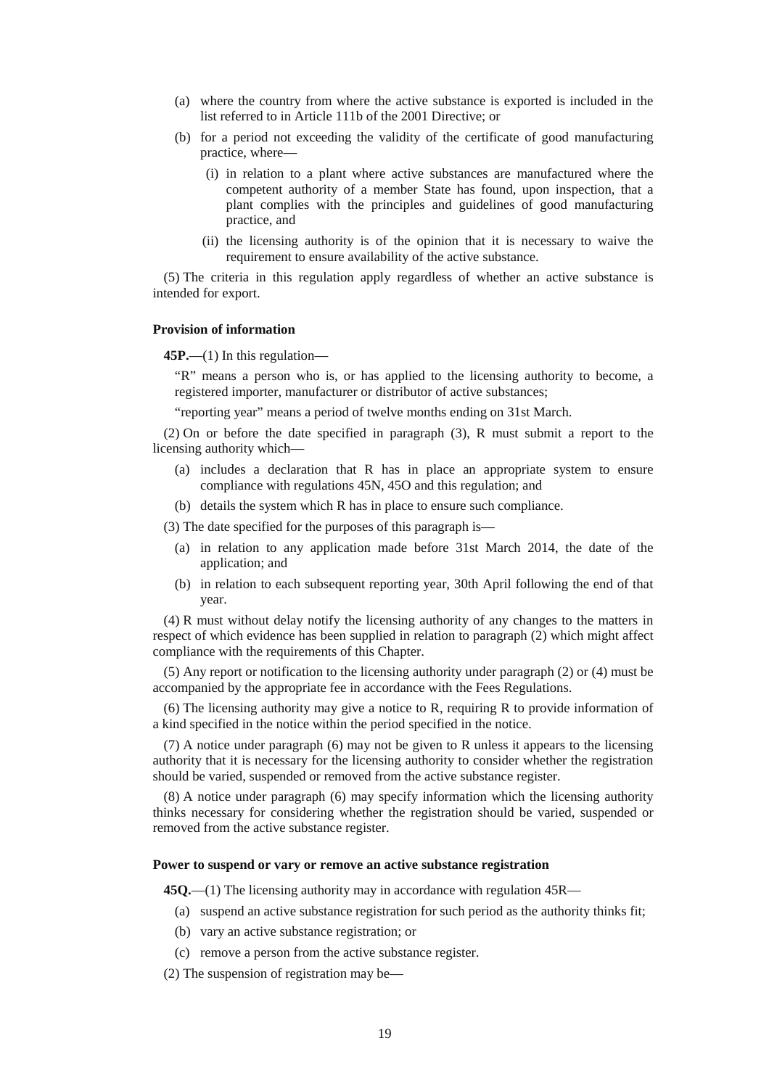- (a) where the country from where the active substance is exported is included in the list referred to in Article 111b of the 2001 Directive; or
- (b) for a period not exceeding the validity of the certificate of good manufacturing practice, where—
	- (i) in relation to a plant where active substances are manufactured where the competent authority of a member State has found, upon inspection, that a plant complies with the principles and guidelines of good manufacturing practice, and
	- (ii) the licensing authority is of the opinion that it is necessary to waive the requirement to ensure availability of the active substance.

(5) The criteria in this regulation apply regardless of whether an active substance is intended for export.

#### **Provision of information**

**45P.**—(1) In this regulation—

"R" means a person who is, or has applied to the licensing authority to become, a registered importer, manufacturer or distributor of active substances;

"reporting year" means a period of twelve months ending on 31st March.

(2) On or before the date specified in paragraph (3), R must submit a report to the licensing authority which—

- (a) includes a declaration that R has in place an appropriate system to ensure compliance with regulations 45N, 45O and this regulation; and
- (b) details the system which R has in place to ensure such compliance.

(3) The date specified for the purposes of this paragraph is—

- (a) in relation to any application made before 31st March 2014, the date of the application; and
- (b) in relation to each subsequent reporting year, 30th April following the end of that year.

(4) R must without delay notify the licensing authority of any changes to the matters in respect of which evidence has been supplied in relation to paragraph (2) which might affect compliance with the requirements of this Chapter.

(5) Any report or notification to the licensing authority under paragraph (2) or (4) must be accompanied by the appropriate fee in accordance with the Fees Regulations.

(6) The licensing authority may give a notice to R, requiring R to provide information of a kind specified in the notice within the period specified in the notice.

(7) A notice under paragraph (6) may not be given to R unless it appears to the licensing authority that it is necessary for the licensing authority to consider whether the registration should be varied, suspended or removed from the active substance register.

(8) A notice under paragraph (6) may specify information which the licensing authority thinks necessary for considering whether the registration should be varied, suspended or removed from the active substance register.

#### **Power to suspend or vary or remove an active substance registration**

**45Q.**—(1) The licensing authority may in accordance with regulation 45R—

- (a) suspend an active substance registration for such period as the authority thinks fit;
- (b) vary an active substance registration; or
- (c) remove a person from the active substance register.

(2) The suspension of registration may be—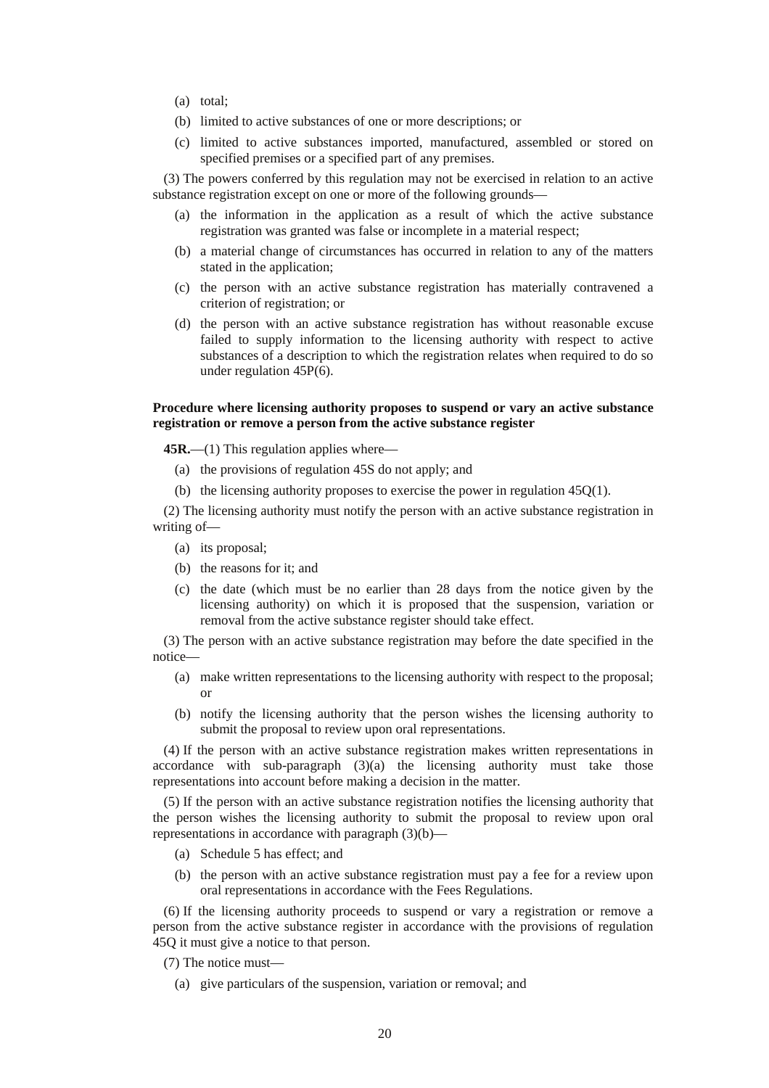- (a) total;
- (b) limited to active substances of one or more descriptions; or
- (c) limited to active substances imported, manufactured, assembled or stored on specified premises or a specified part of any premises.

(3) The powers conferred by this regulation may not be exercised in relation to an active substance registration except on one or more of the following grounds—

- (a) the information in the application as a result of which the active substance registration was granted was false or incomplete in a material respect;
- (b) a material change of circumstances has occurred in relation to any of the matters stated in the application;
- (c) the person with an active substance registration has materially contravened a criterion of registration; or
- (d) the person with an active substance registration has without reasonable excuse failed to supply information to the licensing authority with respect to active substances of a description to which the registration relates when required to do so under regulation 45P(6).

### **Procedure where licensing authority proposes to suspend or vary an active substance registration or remove a person from the active substance register**

**45R.**—(1) This regulation applies where—

- (a) the provisions of regulation 45S do not apply; and
- (b) the licensing authority proposes to exercise the power in regulation 45Q(1).

(2) The licensing authority must notify the person with an active substance registration in writing of—

- (a) its proposal;
- (b) the reasons for it; and
- (c) the date (which must be no earlier than 28 days from the notice given by the licensing authority) on which it is proposed that the suspension, variation or removal from the active substance register should take effect.

(3) The person with an active substance registration may before the date specified in the notice—

- (a) make written representations to the licensing authority with respect to the proposal; or
- (b) notify the licensing authority that the person wishes the licensing authority to submit the proposal to review upon oral representations.

(4) If the person with an active substance registration makes written representations in accordance with sub-paragraph  $(3)(a)$  the licensing authority must take those representations into account before making a decision in the matter.

(5) If the person with an active substance registration notifies the licensing authority that the person wishes the licensing authority to submit the proposal to review upon oral representations in accordance with paragraph (3)(b)—

- (a) Schedule 5 has effect; and
- (b) the person with an active substance registration must pay a fee for a review upon oral representations in accordance with the Fees Regulations.

(6) If the licensing authority proceeds to suspend or vary a registration or remove a person from the active substance register in accordance with the provisions of regulation 45Q it must give a notice to that person.

(7) The notice must—

(a) give particulars of the suspension, variation or removal; and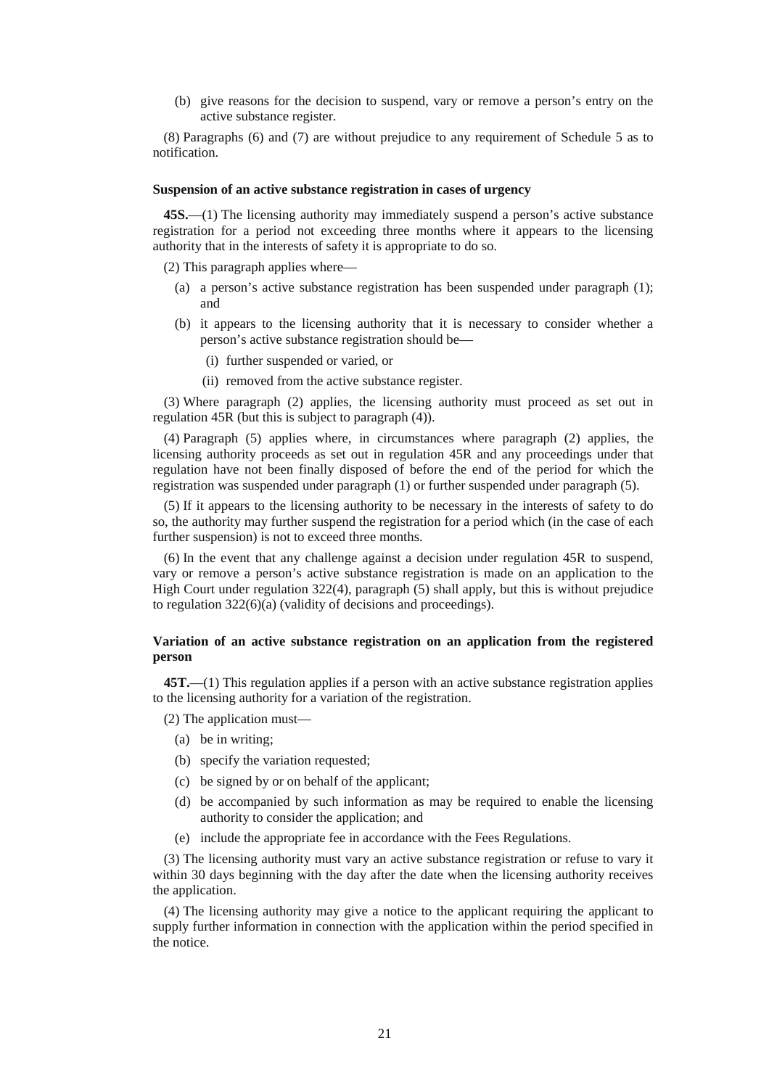(b) give reasons for the decision to suspend, vary or remove a person's entry on the active substance register.

(8) Paragraphs (6) and (7) are without prejudice to any requirement of Schedule 5 as to notification.

### **Suspension of an active substance registration in cases of urgency**

**45S.**—(1) The licensing authority may immediately suspend a person's active substance registration for a period not exceeding three months where it appears to the licensing authority that in the interests of safety it is appropriate to do so.

(2) This paragraph applies where—

- (a) a person's active substance registration has been suspended under paragraph (1); and
- (b) it appears to the licensing authority that it is necessary to consider whether a person's active substance registration should be—
	- (i) further suspended or varied, or
	- (ii) removed from the active substance register.

(3) Where paragraph (2) applies, the licensing authority must proceed as set out in regulation 45R (but this is subject to paragraph (4)).

(4) Paragraph (5) applies where, in circumstances where paragraph (2) applies, the licensing authority proceeds as set out in regulation 45R and any proceedings under that regulation have not been finally disposed of before the end of the period for which the registration was suspended under paragraph (1) or further suspended under paragraph (5).

(5) If it appears to the licensing authority to be necessary in the interests of safety to do so, the authority may further suspend the registration for a period which (in the case of each further suspension) is not to exceed three months.

(6) In the event that any challenge against a decision under regulation 45R to suspend, vary or remove a person's active substance registration is made on an application to the High Court under regulation 322(4), paragraph (5) shall apply, but this is without prejudice to regulation 322(6)(a) (validity of decisions and proceedings).

### **Variation of an active substance registration on an application from the registered person**

**45T.**—(1) This regulation applies if a person with an active substance registration applies to the licensing authority for a variation of the registration.

(2) The application must—

- (a) be in writing;
- (b) specify the variation requested;
- (c) be signed by or on behalf of the applicant;
- (d) be accompanied by such information as may be required to enable the licensing authority to consider the application; and
- (e) include the appropriate fee in accordance with the Fees Regulations.

(3) The licensing authority must vary an active substance registration or refuse to vary it within 30 days beginning with the day after the date when the licensing authority receives the application.

(4) The licensing authority may give a notice to the applicant requiring the applicant to supply further information in connection with the application within the period specified in the notice.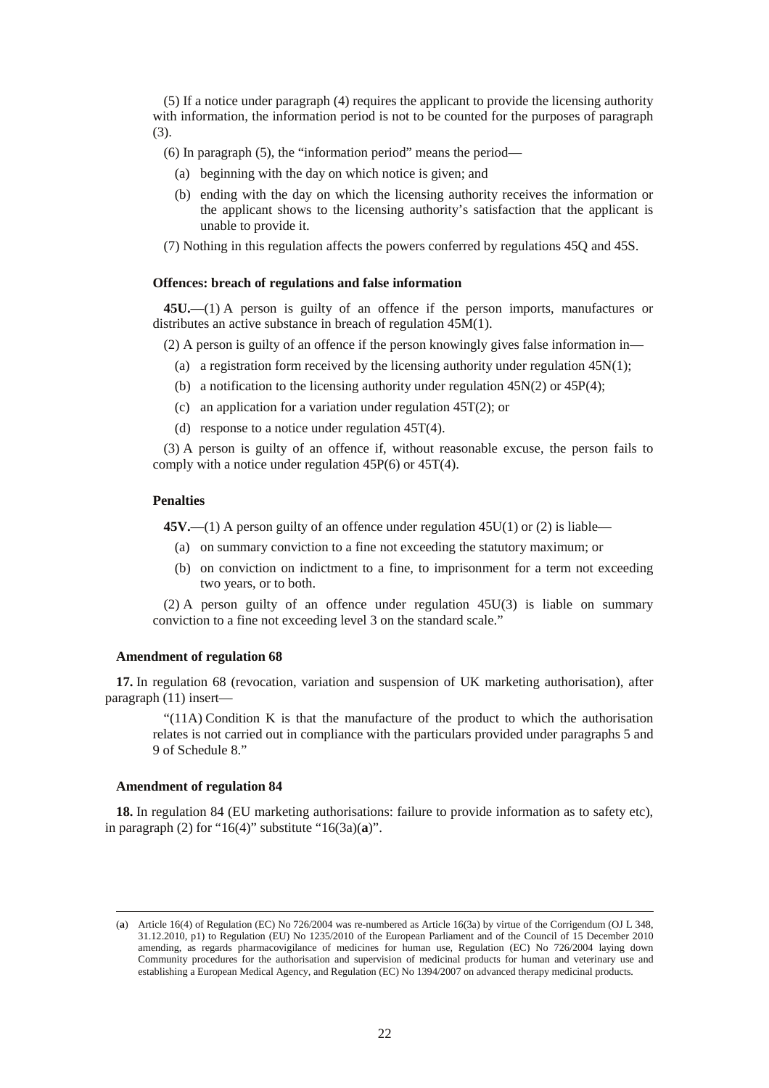(5) If a notice under paragraph (4) requires the applicant to provide the licensing authority with information, the information period is not to be counted for the purposes of paragraph (3).

 $(6)$  In paragraph  $(5)$ , the "information period" means the period—

- (a) beginning with the day on which notice is given; and
- (b) ending with the day on which the licensing authority receives the information or the applicant shows to the licensing authority's satisfaction that the applicant is unable to provide it.
- (7) Nothing in this regulation affects the powers conferred by regulations 45Q and 45S.

### **Offences: breach of regulations and false information**

**45U.**—(1) A person is guilty of an offence if the person imports, manufactures or distributes an active substance in breach of regulation 45M(1).

(2) A person is guilty of an offence if the person knowingly gives false information in—

- (a) a registration form received by the licensing authority under regulation  $45N(1)$ ;
- (b) a notification to the licensing authority under regulation 45N(2) or 45P(4);
- (c) an application for a variation under regulation 45T(2); or
- (d) response to a notice under regulation  $45T(4)$ .

(3) A person is guilty of an offence if, without reasonable excuse, the person fails to comply with a notice under regulation 45P(6) or 45T(4).

### **Penalties**

**45V.**—(1) A person guilty of an offence under regulation 45U(1) or (2) is liable—

- (a) on summary conviction to a fine not exceeding the statutory maximum; or
- (b) on conviction on indictment to a fine, to imprisonment for a term not exceeding two years, or to both.

(2) A person guilty of an offence under regulation 45U(3) is liable on summary conviction to a fine not exceeding level 3 on the standard scale."

#### **Amendment of regulation 68**

**17.** In regulation 68 (revocation, variation and suspension of UK marketing authorisation), after paragraph (11) insert—

"(11A) Condition K is that the manufacture of the product to which the authorisation relates is not carried out in compliance with the particulars provided under paragraphs 5 and 9 of Schedule 8."

#### **Amendment of regulation 84**

-

**18.** In regulation 84 (EU marketing authorisations: failure to provide information as to safety etc), in paragraph (2) for "16(4)" substitute "16(3a)(**a**)".

<sup>(</sup>**a**) Article 16(4) of Regulation (EC) No 726/2004 was re-numbered as Article 16(3a) by virtue of the Corrigendum (OJ L 348, 31.12.2010, p1) to Regulation (EU) No 1235/2010 of the European Parliament and of the Council of 15 December 2010 amending, as regards pharmacovigilance of medicines for human use, Regulation (EC) No 726/2004 laying down Community procedures for the authorisation and supervision of medicinal products for human and veterinary use and establishing a European Medical Agency, and Regulation (EC) No 1394/2007 on advanced therapy medicinal products.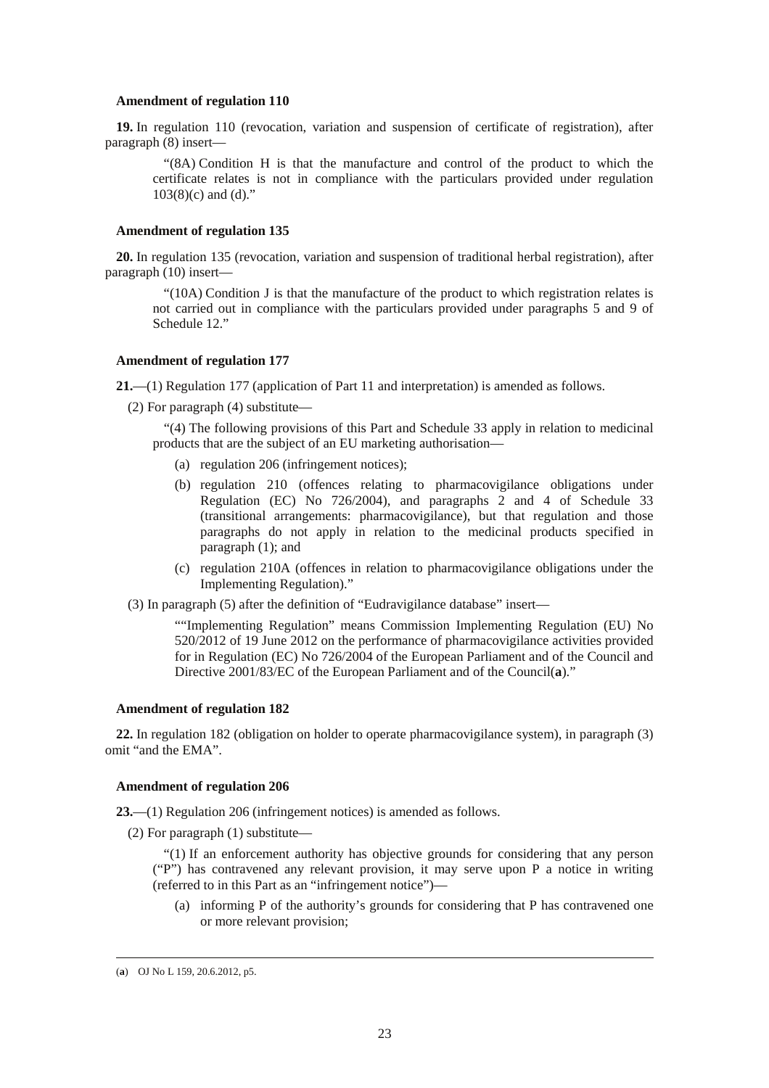#### **Amendment of regulation 110**

**19.** In regulation 110 (revocation, variation and suspension of certificate of registration), after paragraph (8) insert—

"(8A) Condition H is that the manufacture and control of the product to which the certificate relates is not in compliance with the particulars provided under regulation  $103(8)(c)$  and (d)."

### **Amendment of regulation 135**

**20.** In regulation 135 (revocation, variation and suspension of traditional herbal registration), after paragraph (10) insert—

"(10A) Condition J is that the manufacture of the product to which registration relates is not carried out in compliance with the particulars provided under paragraphs 5 and 9 of Schedule 12."

### **Amendment of regulation 177**

**21.**—(1) Regulation 177 (application of Part 11 and interpretation) is amended as follows.

(2) For paragraph (4) substitute—

"(4) The following provisions of this Part and Schedule 33 apply in relation to medicinal products that are the subject of an EU marketing authorisation—

- (a) regulation 206 (infringement notices);
- (b) regulation 210 (offences relating to pharmacovigilance obligations under Regulation (EC) No 726/2004), and paragraphs 2 and 4 of Schedule 33 (transitional arrangements: pharmacovigilance), but that regulation and those paragraphs do not apply in relation to the medicinal products specified in paragraph (1); and
- (c) regulation 210A (offences in relation to pharmacovigilance obligations under the Implementing Regulation)."
- (3) In paragraph (5) after the definition of "Eudravigilance database" insert—

""Implementing Regulation" means Commission Implementing Regulation (EU) No 520/2012 of 19 June 2012 on the performance of pharmacovigilance activities provided for in Regulation (EC) No 726/2004 of the European Parliament and of the Council and Directive 2001/83/EC of the European Parliament and of the Council(**a**)."

#### **Amendment of regulation 182**

**22.** In regulation 182 (obligation on holder to operate pharmacovigilance system), in paragraph (3) omit "and the EMA".

#### **Amendment of regulation 206**

**23.**—(1) Regulation 206 (infringement notices) is amended as follows.

(2) For paragraph (1) substitute—

"(1) If an enforcement authority has objective grounds for considering that any person ("P") has contravened any relevant provision, it may serve upon P a notice in writing (referred to in this Part as an "infringement notice")—

(a) informing P of the authority's grounds for considering that P has contravened one or more relevant provision;

<sup>(</sup>**a**) OJ No L 159, 20.6.2012, p5.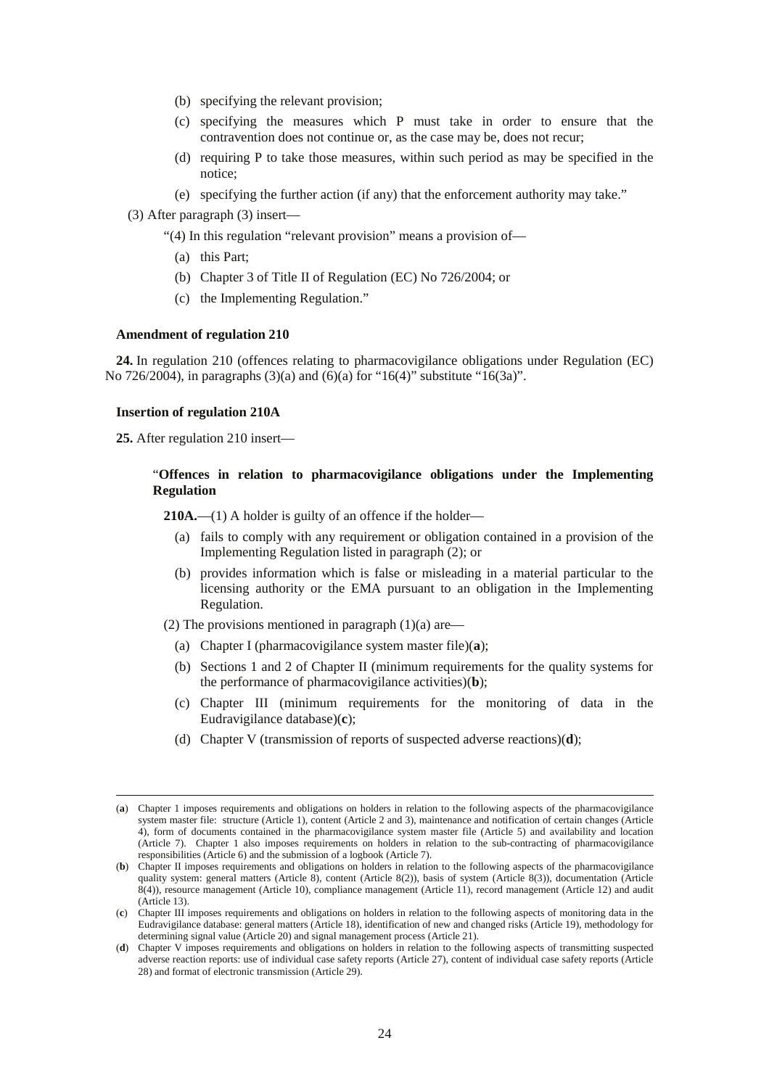- (b) specifying the relevant provision;
- (c) specifying the measures which P must take in order to ensure that the contravention does not continue or, as the case may be, does not recur;
- (d) requiring P to take those measures, within such period as may be specified in the notice;
- (e) specifying the further action (if any) that the enforcement authority may take."
- (3) After paragraph (3) insert—

"(4) In this regulation "relevant provision" means a provision of—

- (a) this Part;
- (b) Chapter 3 of Title II of Regulation (EC) No 726/2004; or
- (c) the Implementing Regulation."

### **Amendment of regulation 210**

**24.** In regulation 210 (offences relating to pharmacovigilance obligations under Regulation (EC) No 726/2004), in paragraphs (3)(a) and (6)(a) for "16(4)" substitute "16(3a)".

#### **Insertion of regulation 210A**

-

**25.** After regulation 210 insert—

### "**Offences in relation to pharmacovigilance obligations under the Implementing Regulation**

**210A.**—(1) A holder is guilty of an offence if the holder—

- (a) fails to comply with any requirement or obligation contained in a provision of the Implementing Regulation listed in paragraph (2); or
- (b) provides information which is false or misleading in a material particular to the licensing authority or the EMA pursuant to an obligation in the Implementing Regulation.
- (2) The provisions mentioned in paragraph  $(1)(a)$  are—
	- (a) Chapter I (pharmacovigilance system master file)(**a**);
	- (b) Sections 1 and 2 of Chapter II (minimum requirements for the quality systems for the performance of pharmacovigilance activities)(**b**);
	- (c) Chapter III (minimum requirements for the monitoring of data in the Eudravigilance database)(**c**);
	- (d) Chapter V (transmission of reports of suspected adverse reactions)(**d**);

<sup>(</sup>**a**) Chapter 1 imposes requirements and obligations on holders in relation to the following aspects of the pharmacovigilance system master file: structure (Article 1), content (Article 2 and 3), maintenance and notification of certain changes (Article 4), form of documents contained in the pharmacovigilance system master file (Article 5) and availability and location (Article 7). Chapter 1 also imposes requirements on holders in relation to the sub-contracting of pharmacovigilance responsibilities (Article 6) and the submission of a logbook (Article 7).

<sup>(</sup>**b**) Chapter II imposes requirements and obligations on holders in relation to the following aspects of the pharmacovigilance quality system: general matters (Article 8), content (Article 8(2)), basis of system (Article 8(3)), documentation (Article 8(4)), resource management (Article 10), compliance management (Article 11), record management (Article 12) and audit (Article 13).

<sup>(</sup>**c**) Chapter III imposes requirements and obligations on holders in relation to the following aspects of monitoring data in the Eudravigilance database: general matters (Article 18), identification of new and changed risks (Article 19), methodology for determining signal value (Article 20) and signal management process (Article 21).

<sup>(</sup>**d**) Chapter V imposes requirements and obligations on holders in relation to the following aspects of transmitting suspected adverse reaction reports: use of individual case safety reports (Article 27), content of individual case safety reports (Article 28) and format of electronic transmission (Article 29).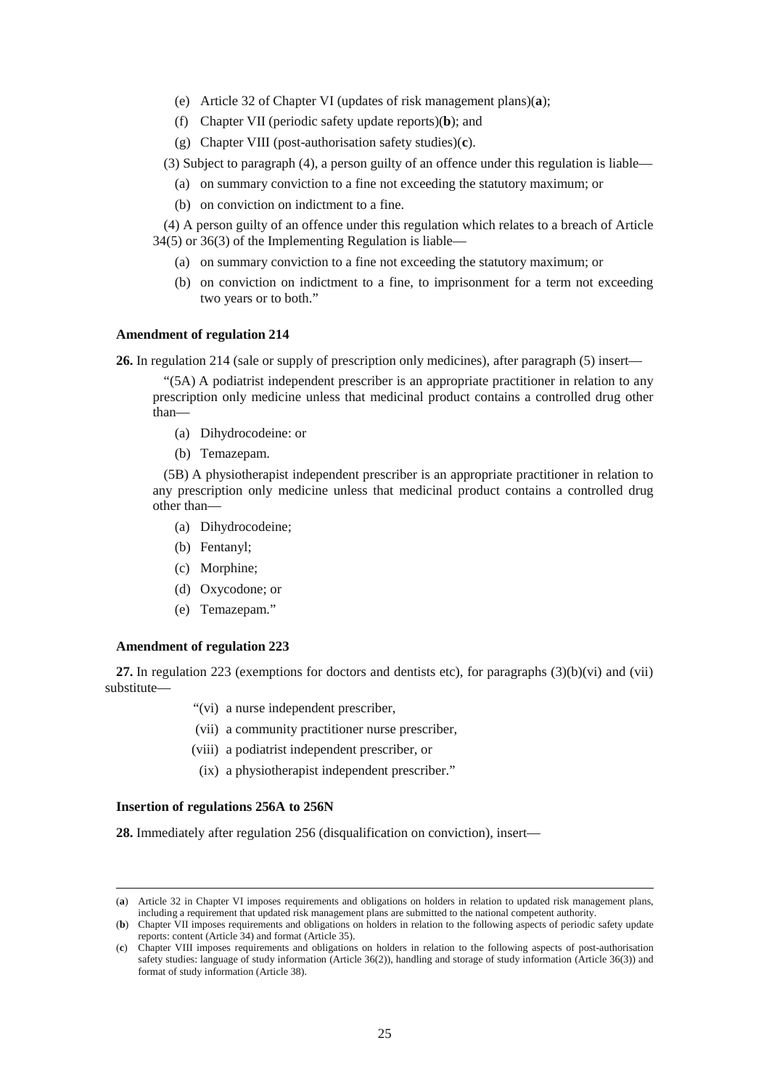- (e) Article 32 of Chapter VI (updates of risk management plans)(**a**);
- (f) Chapter VII (periodic safety update reports)(**b**); and
- (g) Chapter VIII (post-authorisation safety studies)(**c**).

(3) Subject to paragraph (4), a person guilty of an offence under this regulation is liable—

- (a) on summary conviction to a fine not exceeding the statutory maximum; or
- (b) on conviction on indictment to a fine.

(4) A person guilty of an offence under this regulation which relates to a breach of Article 34(5) or 36(3) of the Implementing Regulation is liable—

- (a) on summary conviction to a fine not exceeding the statutory maximum; or
- (b) on conviction on indictment to a fine, to imprisonment for a term not exceeding two years or to both."

### **Amendment of regulation 214**

**26.** In regulation 214 (sale or supply of prescription only medicines), after paragraph (5) insert—

"(5A) A podiatrist independent prescriber is an appropriate practitioner in relation to any prescription only medicine unless that medicinal product contains a controlled drug other than—

- (a) Dihydrocodeine: or
- (b) Temazepam.

(5B) A physiotherapist independent prescriber is an appropriate practitioner in relation to any prescription only medicine unless that medicinal product contains a controlled drug other than—

- (a) Dihydrocodeine;
- (b) Fentanyl;
- (c) Morphine;
- (d) Oxycodone; or
- (e) Temazepam."

### **Amendment of regulation 223**

**27.** In regulation 223 (exemptions for doctors and dentists etc), for paragraphs (3)(b)(vi) and (vii) substitute—

- "(vi) a nurse independent prescriber,
- (vii) a community practitioner nurse prescriber,
- (viii) a podiatrist independent prescriber, or
- (ix) a physiotherapist independent prescriber."

### **Insertion of regulations 256A to 256N**

-

**28.** Immediately after regulation 256 (disqualification on conviction), insert—

<sup>(</sup>**a**) Article 32 in Chapter VI imposes requirements and obligations on holders in relation to updated risk management plans, including a requirement that updated risk management plans are submitted to the national competent authority.

<sup>(</sup>**b**) Chapter VII imposes requirements and obligations on holders in relation to the following aspects of periodic safety update reports: content (Article 34) and format (Article 35).

<sup>(</sup>**c**) Chapter VIII imposes requirements and obligations on holders in relation to the following aspects of post-authorisation safety studies: language of study information (Article 36(2)), handling and storage of study information (Article 36(3)) and format of study information (Article 38).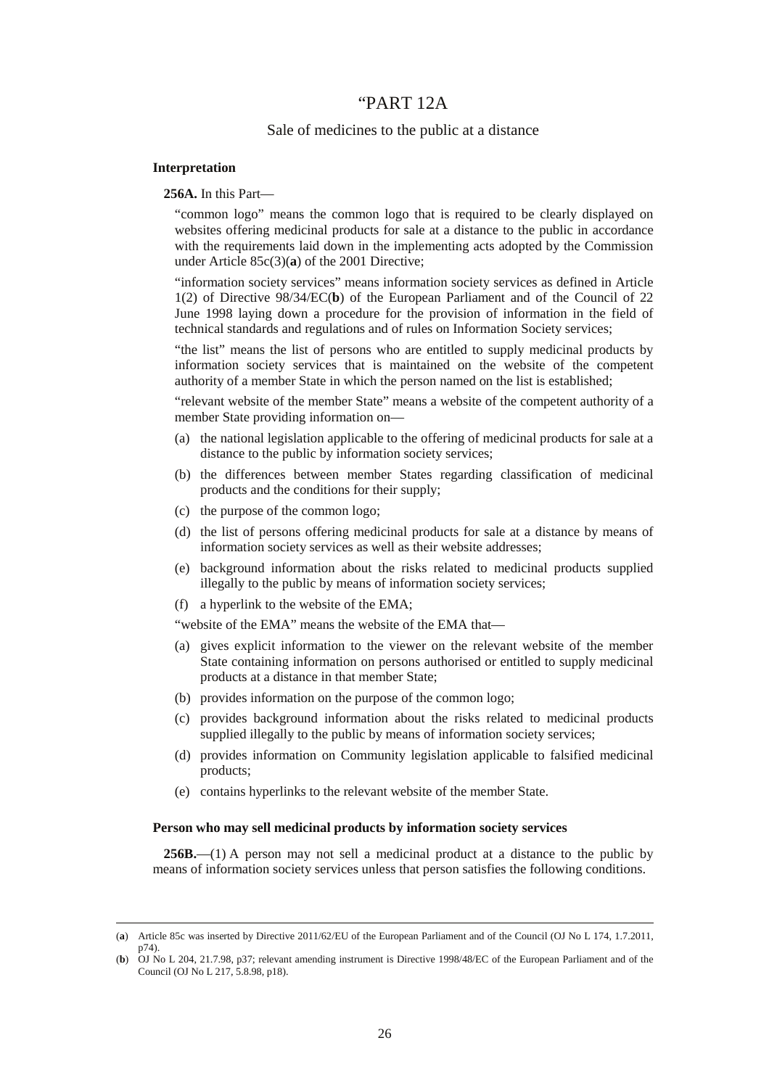## "PART 12A

## Sale of medicines to the public at a distance

### **Interpretation**

-

### **256A.** In this Part—

"common logo" means the common logo that is required to be clearly displayed on websites offering medicinal products for sale at a distance to the public in accordance with the requirements laid down in the implementing acts adopted by the Commission under Article 85c(3)(**a**) of the 2001 Directive;

"information society services" means information society services as defined in Article 1(2) of Directive 98/34/EC(**b**) of the European Parliament and of the Council of 22 June 1998 laying down a procedure for the provision of information in the field of technical standards and regulations and of rules on Information Society services;

"the list" means the list of persons who are entitled to supply medicinal products by information society services that is maintained on the website of the competent authority of a member State in which the person named on the list is established;

"relevant website of the member State" means a website of the competent authority of a member State providing information on—

- (a) the national legislation applicable to the offering of medicinal products for sale at a distance to the public by information society services;
- (b) the differences between member States regarding classification of medicinal products and the conditions for their supply;
- (c) the purpose of the common logo;
- (d) the list of persons offering medicinal products for sale at a distance by means of information society services as well as their website addresses;
- (e) background information about the risks related to medicinal products supplied illegally to the public by means of information society services;
- (f) a hyperlink to the website of the EMA;

"website of the EMA" means the website of the EMA that—

- (a) gives explicit information to the viewer on the relevant website of the member State containing information on persons authorised or entitled to supply medicinal products at a distance in that member State;
- (b) provides information on the purpose of the common logo;
- (c) provides background information about the risks related to medicinal products supplied illegally to the public by means of information society services;
- (d) provides information on Community legislation applicable to falsified medicinal products;
- (e) contains hyperlinks to the relevant website of the member State.

### **Person who may sell medicinal products by information society services**

**256B.**—(1) A person may not sell a medicinal product at a distance to the public by means of information society services unless that person satisfies the following conditions.

<sup>(</sup>**a**) Article 85c was inserted by Directive 2011/62/EU of the European Parliament and of the Council (OJ No L 174, 1.7.2011,  $n74$ ).

<sup>(</sup>**b**) OJ No L 204, 21.7.98, p37; relevant amending instrument is Directive 1998/48/EC of the European Parliament and of the Council (OJ No L 217, 5.8.98, p18).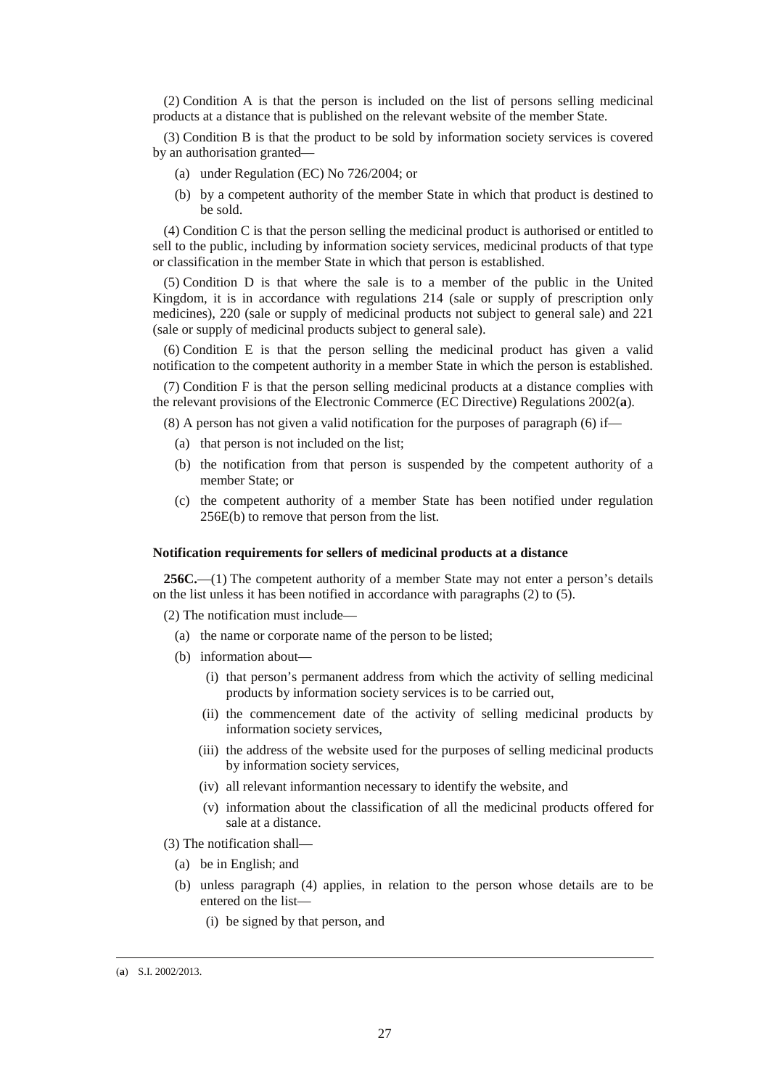(2) Condition A is that the person is included on the list of persons selling medicinal products at a distance that is published on the relevant website of the member State.

(3) Condition B is that the product to be sold by information society services is covered by an authorisation granted—

- (a) under Regulation (EC) No 726/2004; or
- (b) by a competent authority of the member State in which that product is destined to be sold.

(4) Condition C is that the person selling the medicinal product is authorised or entitled to sell to the public, including by information society services, medicinal products of that type or classification in the member State in which that person is established.

(5) Condition D is that where the sale is to a member of the public in the United Kingdom, it is in accordance with regulations 214 (sale or supply of prescription only medicines), 220 (sale or supply of medicinal products not subject to general sale) and 221 (sale or supply of medicinal products subject to general sale).

(6) Condition E is that the person selling the medicinal product has given a valid notification to the competent authority in a member State in which the person is established.

(7) Condition F is that the person selling medicinal products at a distance complies with the relevant provisions of the Electronic Commerce (EC Directive) Regulations 2002(**a**).

(8) A person has not given a valid notification for the purposes of paragraph (6) if—

- (a) that person is not included on the list;
- (b) the notification from that person is suspended by the competent authority of a member State; or
- (c) the competent authority of a member State has been notified under regulation 256E(b) to remove that person from the list.

#### **Notification requirements for sellers of medicinal products at a distance**

**256C.**—(1) The competent authority of a member State may not enter a person's details on the list unless it has been notified in accordance with paragraphs (2) to (5).

(2) The notification must include—

- (a) the name or corporate name of the person to be listed;
- (b) information about—
	- (i) that person's permanent address from which the activity of selling medicinal products by information society services is to be carried out,
	- (ii) the commencement date of the activity of selling medicinal products by information society services,
	- (iii) the address of the website used for the purposes of selling medicinal products by information society services,
	- (iv) all relevant informantion necessary to identify the website, and
	- (v) information about the classification of all the medicinal products offered for sale at a distance.
- (3) The notification shall—
	- (a) be in English; and
	- (b) unless paragraph (4) applies, in relation to the person whose details are to be entered on the list—
		- (i) be signed by that person, and

<sup>(</sup>**a**) S.I. 2002/2013.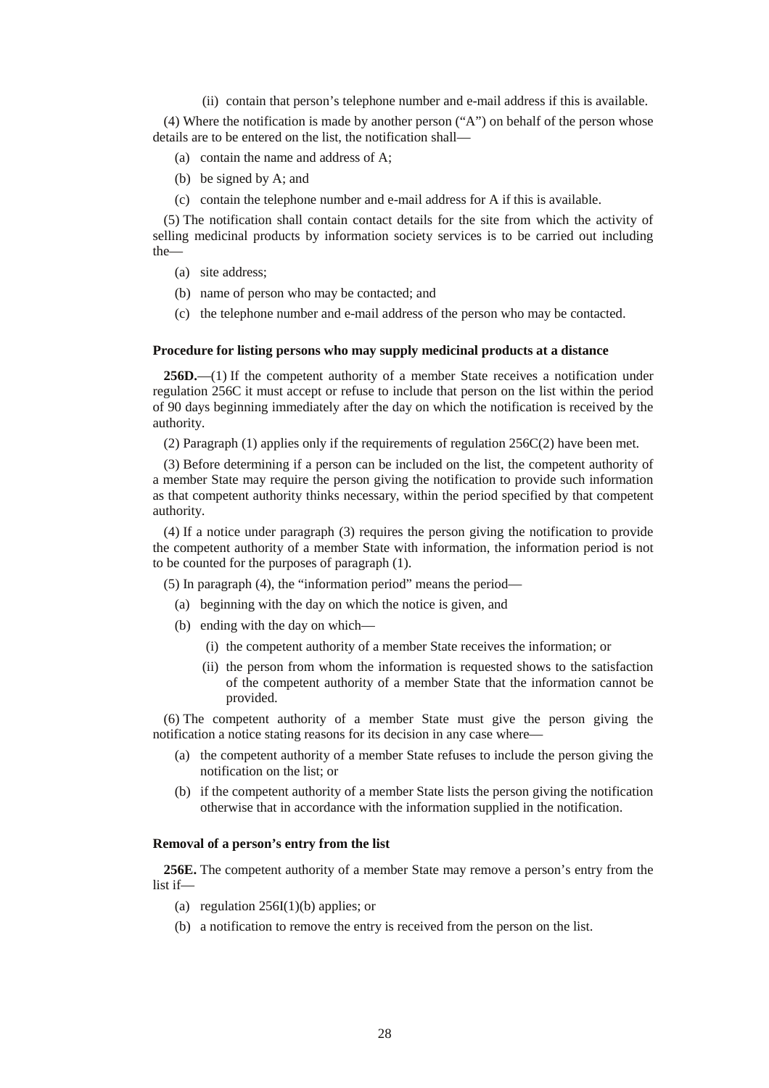(ii) contain that person's telephone number and e-mail address if this is available.

(4) Where the notification is made by another person ("A") on behalf of the person whose details are to be entered on the list, the notification shall—

- (a) contain the name and address of A;
- (b) be signed by A; and
- (c) contain the telephone number and e-mail address for A if this is available.

(5) The notification shall contain contact details for the site from which the activity of selling medicinal products by information society services is to be carried out including the—

- (a) site address;
- (b) name of person who may be contacted; and
- (c) the telephone number and e-mail address of the person who may be contacted.

### **Procedure for listing persons who may supply medicinal products at a distance**

**256D.**—(1) If the competent authority of a member State receives a notification under regulation 256C it must accept or refuse to include that person on the list within the period of 90 days beginning immediately after the day on which the notification is received by the authority.

(2) Paragraph (1) applies only if the requirements of regulation 256C(2) have been met.

(3) Before determining if a person can be included on the list, the competent authority of a member State may require the person giving the notification to provide such information as that competent authority thinks necessary, within the period specified by that competent authority.

(4) If a notice under paragraph (3) requires the person giving the notification to provide the competent authority of a member State with information, the information period is not to be counted for the purposes of paragraph (1).

- $(5)$  In paragraph  $(4)$ , the "information period" means the period—
	- (a) beginning with the day on which the notice is given, and
	- (b) ending with the day on which—
		- (i) the competent authority of a member State receives the information; or
		- (ii) the person from whom the information is requested shows to the satisfaction of the competent authority of a member State that the information cannot be provided.

(6) The competent authority of a member State must give the person giving the notification a notice stating reasons for its decision in any case where—

- (a) the competent authority of a member State refuses to include the person giving the notification on the list; or
- (b) if the competent authority of a member State lists the person giving the notification otherwise that in accordance with the information supplied in the notification.

#### **Removal of a person's entry from the list**

**256E.** The competent authority of a member State may remove a person's entry from the list if—

- (a) regulation 256I(1)(b) applies; or
- (b) a notification to remove the entry is received from the person on the list.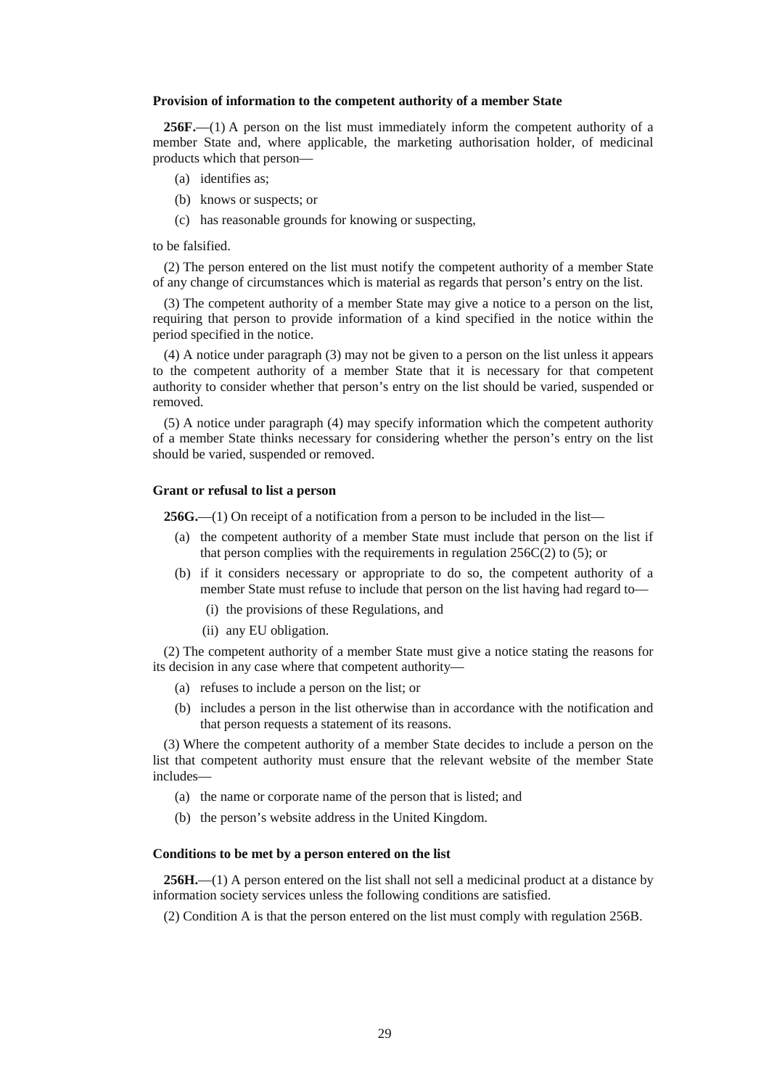#### **Provision of information to the competent authority of a member State**

**256F.**—(1) A person on the list must immediately inform the competent authority of a member State and, where applicable, the marketing authorisation holder, of medicinal products which that person—

- (a) identifies as;
- (b) knows or suspects; or
- (c) has reasonable grounds for knowing or suspecting,

### to be falsified.

(2) The person entered on the list must notify the competent authority of a member State of any change of circumstances which is material as regards that person's entry on the list.

(3) The competent authority of a member State may give a notice to a person on the list, requiring that person to provide information of a kind specified in the notice within the period specified in the notice.

(4) A notice under paragraph (3) may not be given to a person on the list unless it appears to the competent authority of a member State that it is necessary for that competent authority to consider whether that person's entry on the list should be varied, suspended or removed.

(5) A notice under paragraph (4) may specify information which the competent authority of a member State thinks necessary for considering whether the person's entry on the list should be varied, suspended or removed.

### **Grant or refusal to list a person**

**256G.**—(1) On receipt of a notification from a person to be included in the list—

- (a) the competent authority of a member State must include that person on the list if that person complies with the requirements in regulation  $256C(2)$  to (5); or
- (b) if it considers necessary or appropriate to do so, the competent authority of a member State must refuse to include that person on the list having had regard to—
	- (i) the provisions of these Regulations, and
	- (ii) any EU obligation.

(2) The competent authority of a member State must give a notice stating the reasons for its decision in any case where that competent authority—

- (a) refuses to include a person on the list; or
- (b) includes a person in the list otherwise than in accordance with the notification and that person requests a statement of its reasons.

(3) Where the competent authority of a member State decides to include a person on the list that competent authority must ensure that the relevant website of the member State includes—

- (a) the name or corporate name of the person that is listed; and
- (b) the person's website address in the United Kingdom.

#### **Conditions to be met by a person entered on the list**

**256H.**—(1) A person entered on the list shall not sell a medicinal product at a distance by information society services unless the following conditions are satisfied.

(2) Condition A is that the person entered on the list must comply with regulation 256B.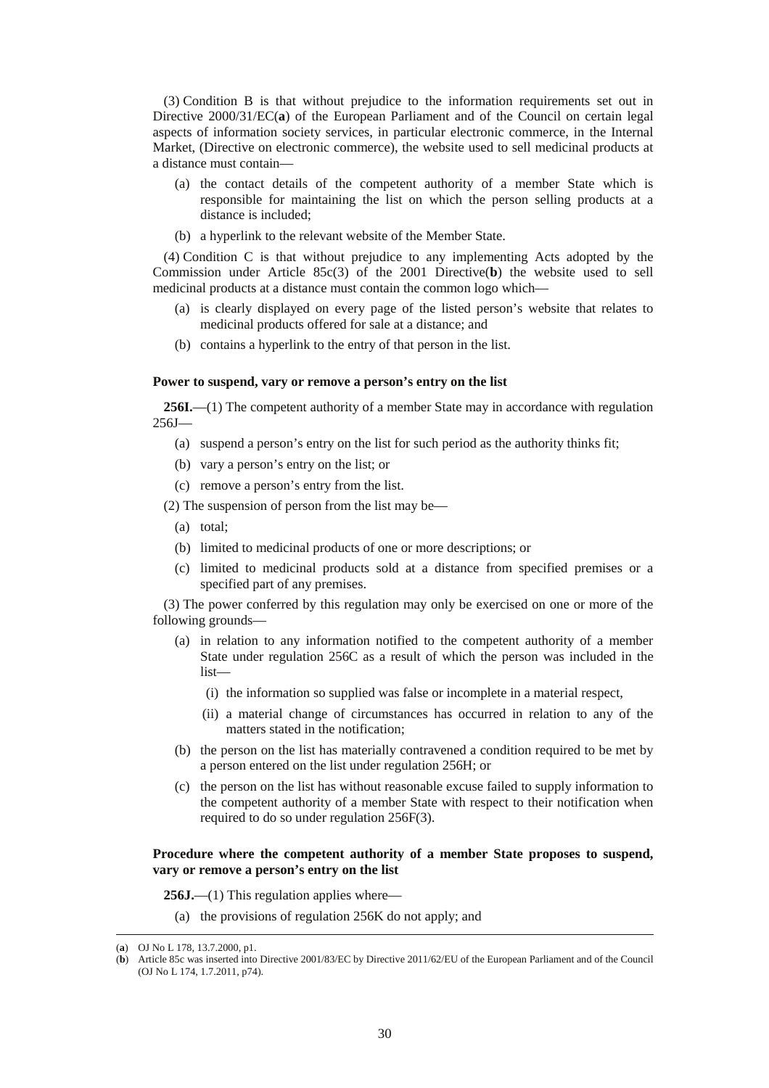(3) Condition B is that without prejudice to the information requirements set out in Directive 2000/31/EC(**a**) of the European Parliament and of the Council on certain legal aspects of information society services, in particular electronic commerce, in the Internal Market, (Directive on electronic commerce), the website used to sell medicinal products at a distance must contain—

- (a) the contact details of the competent authority of a member State which is responsible for maintaining the list on which the person selling products at a distance is included;
- (b) a hyperlink to the relevant website of the Member State.

(4) Condition C is that without prejudice to any implementing Acts adopted by the Commission under Article 85c(3) of the 2001 Directive(**b**) the website used to sell medicinal products at a distance must contain the common logo which—

- (a) is clearly displayed on every page of the listed person's website that relates to medicinal products offered for sale at a distance; and
- (b) contains a hyperlink to the entry of that person in the list.

### **Power to suspend, vary or remove a person's entry on the list**

**256I.**—(1) The competent authority of a member State may in accordance with regulation 256J—

- (a) suspend a person's entry on the list for such period as the authority thinks fit;
- (b) vary a person's entry on the list; or
- (c) remove a person's entry from the list.

(2) The suspension of person from the list may be—

- (a) total;
- (b) limited to medicinal products of one or more descriptions; or
- (c) limited to medicinal products sold at a distance from specified premises or a specified part of any premises.

(3) The power conferred by this regulation may only be exercised on one or more of the following grounds—

- (a) in relation to any information notified to the competent authority of a member State under regulation 256C as a result of which the person was included in the list—
	- (i) the information so supplied was false or incomplete in a material respect,
	- (ii) a material change of circumstances has occurred in relation to any of the matters stated in the notification;
- (b) the person on the list has materially contravened a condition required to be met by a person entered on the list under regulation 256H; or
- (c) the person on the list has without reasonable excuse failed to supply information to the competent authority of a member State with respect to their notification when required to do so under regulation 256F(3).

### **Procedure where the competent authority of a member State proposes to suspend, vary or remove a person's entry on the list**

**256J.**—(1) This regulation applies where—

(a) the provisions of regulation 256K do not apply; and

<sup>(</sup>**a**) OJ No L 178, 13.7.2000, p1.

<sup>(</sup>**b**) Article 85c was inserted into Directive 2001/83/EC by Directive 2011/62/EU of the European Parliament and of the Council (OJ No L 174, 1.7.2011, p74).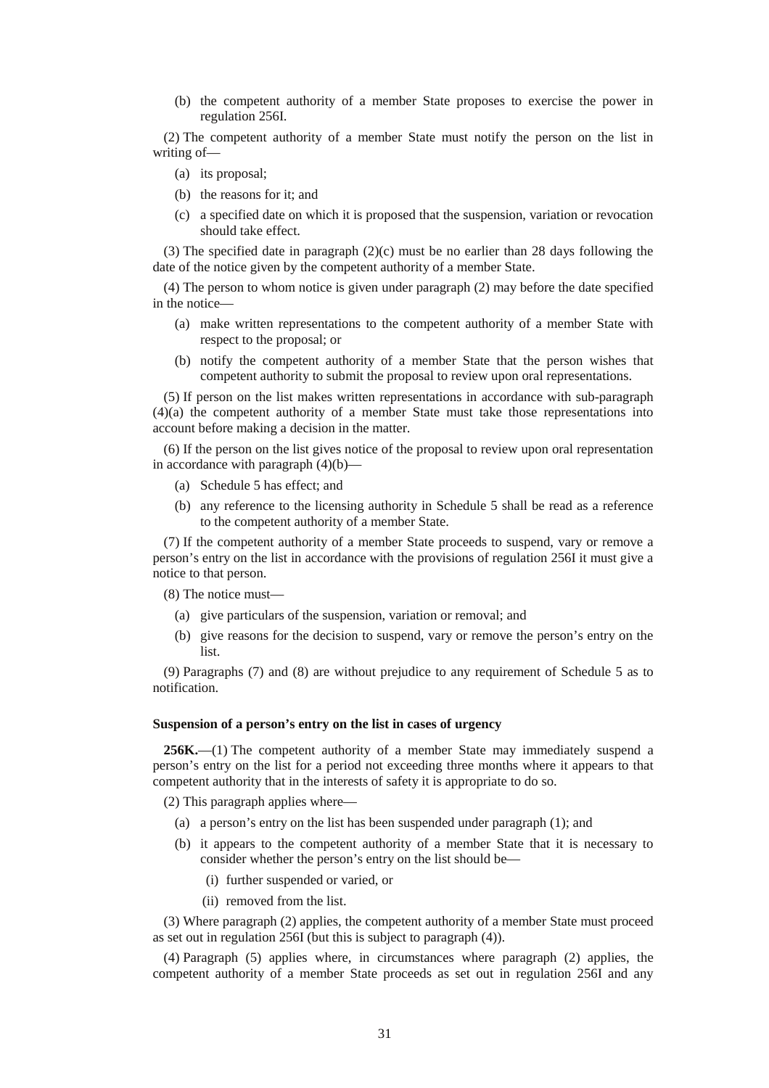(b) the competent authority of a member State proposes to exercise the power in regulation 256I.

(2) The competent authority of a member State must notify the person on the list in writing of—

- (a) its proposal;
- (b) the reasons for it; and
- (c) a specified date on which it is proposed that the suspension, variation or revocation should take effect.

(3) The specified date in paragraph (2)(c) must be no earlier than 28 days following the date of the notice given by the competent authority of a member State.

(4) The person to whom notice is given under paragraph (2) may before the date specified in the notice—

- (a) make written representations to the competent authority of a member State with respect to the proposal; or
- (b) notify the competent authority of a member State that the person wishes that competent authority to submit the proposal to review upon oral representations.

(5) If person on the list makes written representations in accordance with sub-paragraph (4)(a) the competent authority of a member State must take those representations into account before making a decision in the matter.

(6) If the person on the list gives notice of the proposal to review upon oral representation in accordance with paragraph  $(4)(b)$ —

- (a) Schedule 5 has effect; and
- (b) any reference to the licensing authority in Schedule 5 shall be read as a reference to the competent authority of a member State.

(7) If the competent authority of a member State proceeds to suspend, vary or remove a person's entry on the list in accordance with the provisions of regulation 256I it must give a notice to that person.

(8) The notice must—

- (a) give particulars of the suspension, variation or removal; and
- (b) give reasons for the decision to suspend, vary or remove the person's entry on the list.

(9) Paragraphs (7) and (8) are without prejudice to any requirement of Schedule 5 as to notification.

### **Suspension of a person's entry on the list in cases of urgency**

**256K.**—(1) The competent authority of a member State may immediately suspend a person's entry on the list for a period not exceeding three months where it appears to that competent authority that in the interests of safety it is appropriate to do so.

(2) This paragraph applies where—

- (a) a person's entry on the list has been suspended under paragraph (1); and
- (b) it appears to the competent authority of a member State that it is necessary to consider whether the person's entry on the list should be—
	- (i) further suspended or varied, or
	- (ii) removed from the list.

(3) Where paragraph (2) applies, the competent authority of a member State must proceed as set out in regulation 256I (but this is subject to paragraph (4)).

(4) Paragraph (5) applies where, in circumstances where paragraph (2) applies, the competent authority of a member State proceeds as set out in regulation 256I and any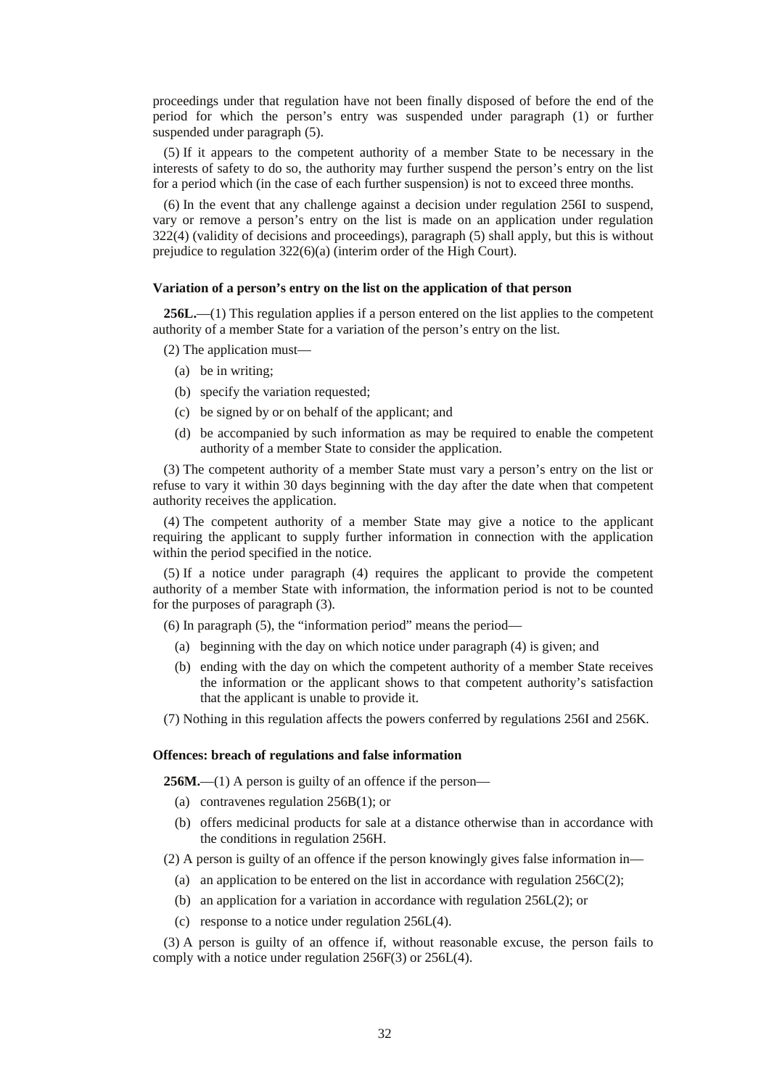proceedings under that regulation have not been finally disposed of before the end of the period for which the person's entry was suspended under paragraph (1) or further suspended under paragraph (5).

(5) If it appears to the competent authority of a member State to be necessary in the interests of safety to do so, the authority may further suspend the person's entry on the list for a period which (in the case of each further suspension) is not to exceed three months.

(6) In the event that any challenge against a decision under regulation 256I to suspend, vary or remove a person's entry on the list is made on an application under regulation 322(4) (validity of decisions and proceedings), paragraph (5) shall apply, but this is without prejudice to regulation 322(6)(a) (interim order of the High Court).

### **Variation of a person's entry on the list on the application of that person**

**256L.**—(1) This regulation applies if a person entered on the list applies to the competent authority of a member State for a variation of the person's entry on the list.

(2) The application must—

- (a) be in writing;
- (b) specify the variation requested;
- (c) be signed by or on behalf of the applicant; and
- (d) be accompanied by such information as may be required to enable the competent authority of a member State to consider the application.

(3) The competent authority of a member State must vary a person's entry on the list or refuse to vary it within 30 days beginning with the day after the date when that competent authority receives the application.

(4) The competent authority of a member State may give a notice to the applicant requiring the applicant to supply further information in connection with the application within the period specified in the notice.

(5) If a notice under paragraph (4) requires the applicant to provide the competent authority of a member State with information, the information period is not to be counted for the purposes of paragraph (3).

 $(6)$  In paragraph  $(5)$ , the "information period" means the period—

- (a) beginning with the day on which notice under paragraph (4) is given; and
- (b) ending with the day on which the competent authority of a member State receives the information or the applicant shows to that competent authority's satisfaction that the applicant is unable to provide it.

(7) Nothing in this regulation affects the powers conferred by regulations 256I and 256K.

### **Offences: breach of regulations and false information**

**256M.**—(1) A person is guilty of an offence if the person—

- (a) contravenes regulation 256B(1); or
- (b) offers medicinal products for sale at a distance otherwise than in accordance with the conditions in regulation 256H.

(2) A person is guilty of an offence if the person knowingly gives false information in—

- (a) an application to be entered on the list in accordance with regulation  $256C(2)$ ;
- (b) an application for a variation in accordance with regulation 256L(2); or
- (c) response to a notice under regulation 256L(4).

(3) A person is guilty of an offence if, without reasonable excuse, the person fails to comply with a notice under regulation 256F(3) or 256L(4).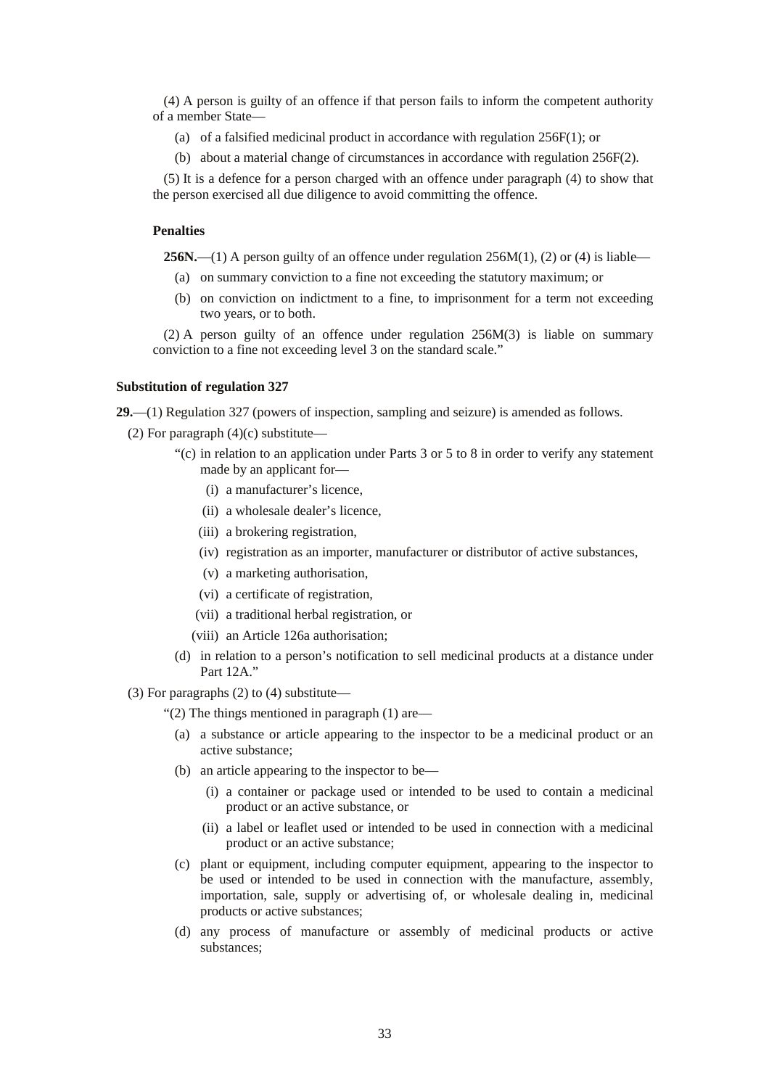(4) A person is guilty of an offence if that person fails to inform the competent authority of a member State—

- (a) of a falsified medicinal product in accordance with regulation 256F(1); or
- (b) about a material change of circumstances in accordance with regulation 256F(2).

(5) It is a defence for a person charged with an offence under paragraph (4) to show that the person exercised all due diligence to avoid committing the offence.

#### **Penalties**

**256N.**—(1) A person guilty of an offence under regulation  $256M(1)$ , (2) or (4) is liable—

- (a) on summary conviction to a fine not exceeding the statutory maximum; or
- (b) on conviction on indictment to a fine, to imprisonment for a term not exceeding two years, or to both.

(2) A person guilty of an offence under regulation 256M(3) is liable on summary conviction to a fine not exceeding level 3 on the standard scale."

#### **Substitution of regulation 327**

**29.**—(1) Regulation 327 (powers of inspection, sampling and seizure) is amended as follows.

- (2) For paragraph  $(4)(c)$  substitute—
	- $\degree$  (c) in relation to an application under Parts 3 or 5 to 8 in order to verify any statement made by an applicant for—
		- (i) a manufacturer's licence,
		- (ii) a wholesale dealer's licence,
		- (iii) a brokering registration,
		- (iv) registration as an importer, manufacturer or distributor of active substances,
		- (v) a marketing authorisation,
		- (vi) a certificate of registration,
		- (vii) a traditional herbal registration, or
		- (viii) an Article 126a authorisation;
	- (d) in relation to a person's notification to sell medicinal products at a distance under Part 12A."
- (3) For paragraphs (2) to (4) substitute—

"(2) The things mentioned in paragraph (1) are—

- (a) a substance or article appearing to the inspector to be a medicinal product or an active substance;
- (b) an article appearing to the inspector to be—
	- (i) a container or package used or intended to be used to contain a medicinal product or an active substance, or
	- (ii) a label or leaflet used or intended to be used in connection with a medicinal product or an active substance;
- (c) plant or equipment, including computer equipment, appearing to the inspector to be used or intended to be used in connection with the manufacture, assembly, importation, sale, supply or advertising of, or wholesale dealing in, medicinal products or active substances;
- (d) any process of manufacture or assembly of medicinal products or active substances;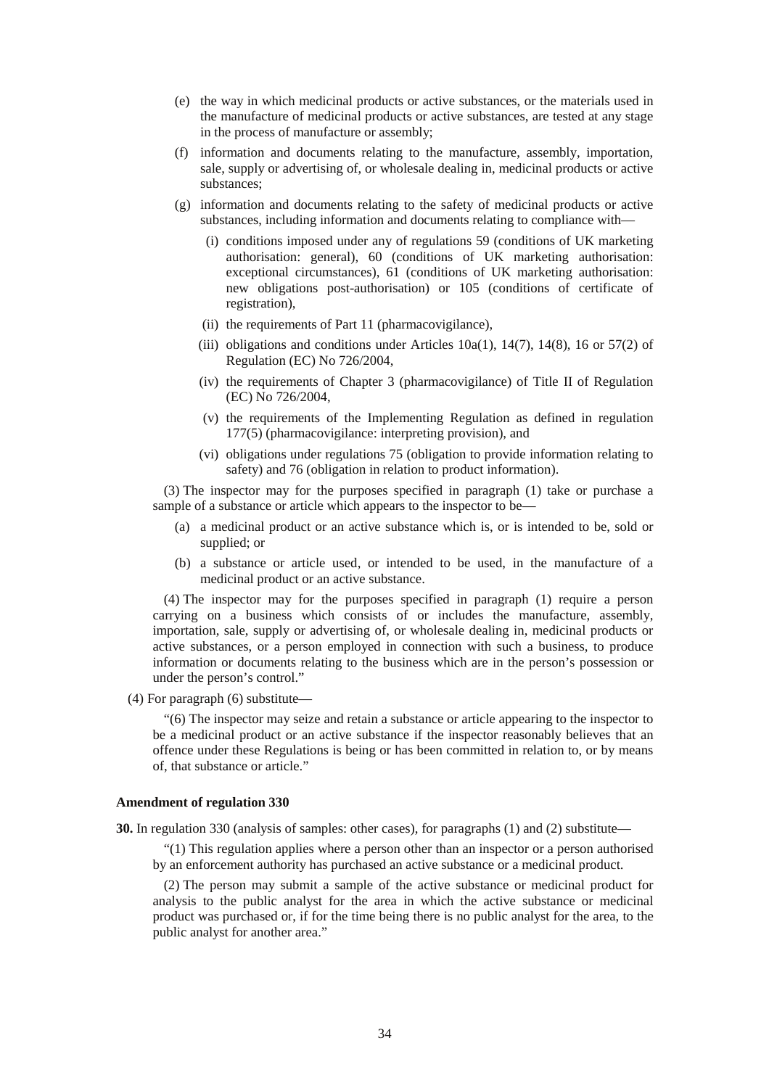- (e) the way in which medicinal products or active substances, or the materials used in the manufacture of medicinal products or active substances, are tested at any stage in the process of manufacture or assembly;
- (f) information and documents relating to the manufacture, assembly, importation, sale, supply or advertising of, or wholesale dealing in, medicinal products or active substances;
- (g) information and documents relating to the safety of medicinal products or active substances, including information and documents relating to compliance with—
	- (i) conditions imposed under any of regulations 59 (conditions of UK marketing authorisation: general), 60 (conditions of UK marketing authorisation: exceptional circumstances), 61 (conditions of UK marketing authorisation: new obligations post-authorisation) or 105 (conditions of certificate of registration),
	- (ii) the requirements of Part 11 (pharmacovigilance),
	- (iii) obligations and conditions under Articles  $10a(1)$ ,  $14(7)$ ,  $14(8)$ , 16 or 57(2) of Regulation (EC) No 726/2004,
	- (iv) the requirements of Chapter 3 (pharmacovigilance) of Title II of Regulation (EC) No 726/2004,
	- (v) the requirements of the Implementing Regulation as defined in regulation 177(5) (pharmacovigilance: interpreting provision), and
	- (vi) obligations under regulations 75 (obligation to provide information relating to safety) and 76 (obligation in relation to product information).

(3) The inspector may for the purposes specified in paragraph (1) take or purchase a sample of a substance or article which appears to the inspector to be—

- (a) a medicinal product or an active substance which is, or is intended to be, sold or supplied; or
- (b) a substance or article used, or intended to be used, in the manufacture of a medicinal product or an active substance.

(4) The inspector may for the purposes specified in paragraph (1) require a person carrying on a business which consists of or includes the manufacture, assembly, importation, sale, supply or advertising of, or wholesale dealing in, medicinal products or active substances, or a person employed in connection with such a business, to produce information or documents relating to the business which are in the person's possession or under the person's control."

(4) For paragraph (6) substitute—

"(6) The inspector may seize and retain a substance or article appearing to the inspector to be a medicinal product or an active substance if the inspector reasonably believes that an offence under these Regulations is being or has been committed in relation to, or by means of, that substance or article."

### **Amendment of regulation 330**

**30.** In regulation 330 (analysis of samples: other cases), for paragraphs (1) and (2) substitute—

"(1) This regulation applies where a person other than an inspector or a person authorised by an enforcement authority has purchased an active substance or a medicinal product.

(2) The person may submit a sample of the active substance or medicinal product for analysis to the public analyst for the area in which the active substance or medicinal product was purchased or, if for the time being there is no public analyst for the area, to the public analyst for another area."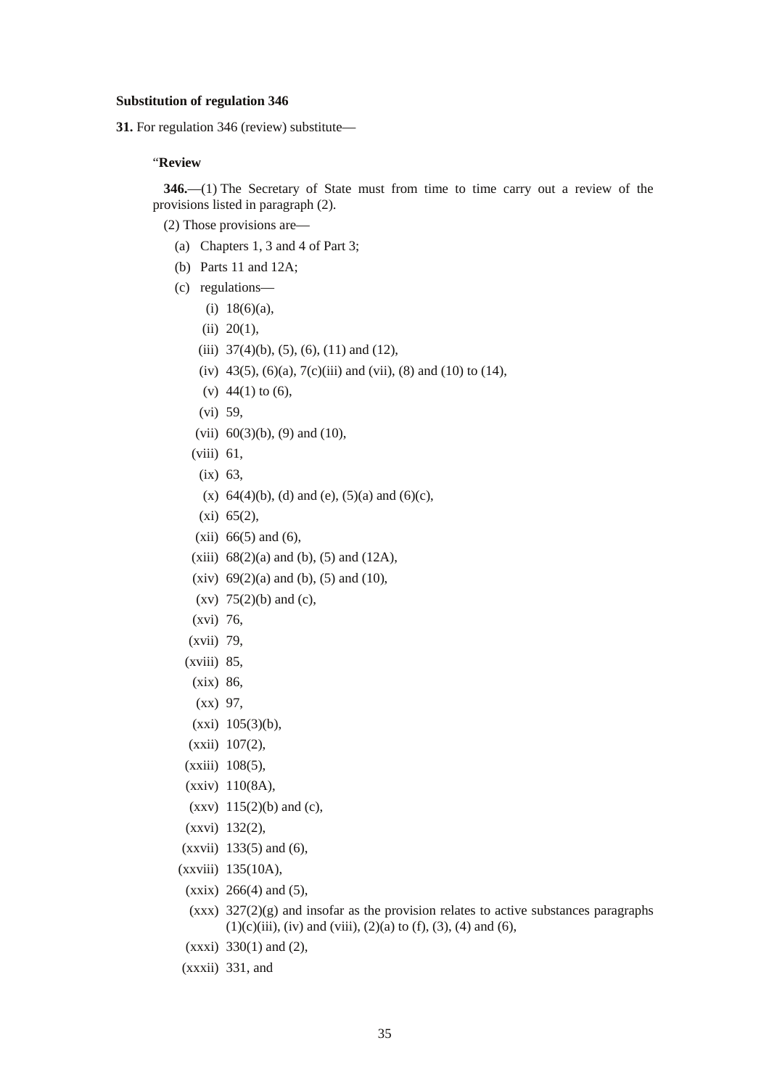### **Substitution of regulation 346**

**31.** For regulation 346 (review) substitute—

### "**Review**

**346.**—(1) The Secretary of State must from time to time carry out a review of the provisions listed in paragraph (2).

(2) Those provisions are—

- (a) Chapters 1, 3 and 4 of Part 3;
- (b) Parts 11 and 12A;
- (c) regulations—
	- (i)  $18(6)(a)$ ,
	- $(ii) 20(1),$
	- (iii)  $37(4)(b)$ ,  $(5)$ ,  $(6)$ ,  $(11)$  and  $(12)$ ,
	- (iv) 43(5), (6)(a), 7(c)(iii) and (vii), (8) and (10) to (14),
	- (v)  $44(1)$  to (6),
	- (vi) 59,
	- (vii)  $60(3)(b)$ , (9) and (10),
	- (viii) 61,
	- (ix) 63,
	- (x)  $64(4)(b)$ , (d) and (e),  $(5)(a)$  and  $(6)(c)$ ,
	- $(xi)$  65(2),
	- $(xii)$  66(5) and (6),
	- (xiii)  $68(2)(a)$  and (b), (5) and (12A),
	- (xiv)  $69(2)(a)$  and (b), (5) and (10),
	- (xv) 75(2)(b) and (c),
	- (xvi) 76,
	- (xvii) 79,
	- (xviii) 85,
		- (xix) 86,
		- (xx) 97,
	- (xxi) 105(3)(b),
	- (xxii) 107(2),
	- (xxiii) 108(5),
	- (xxiv) 110(8A),
	- $(xxy)$  115(2)(b) and (c),
	- (xxvi) 132(2),
	- (xxvii) 133(5) and (6),
- (xxviii) 135(10A),
- $(xxix)$  266(4) and (5),
- (xxx) 327(2)(g) and insofar as the provision relates to active substances paragraphs  $(1)(c)(iii)$ , (iv) and (viii),  $(2)(a)$  to (f),  $(3)$ ,  $(4)$  and  $(6)$ ,
- (xxxi) 330(1) and (2),
- (xxxii) 331, and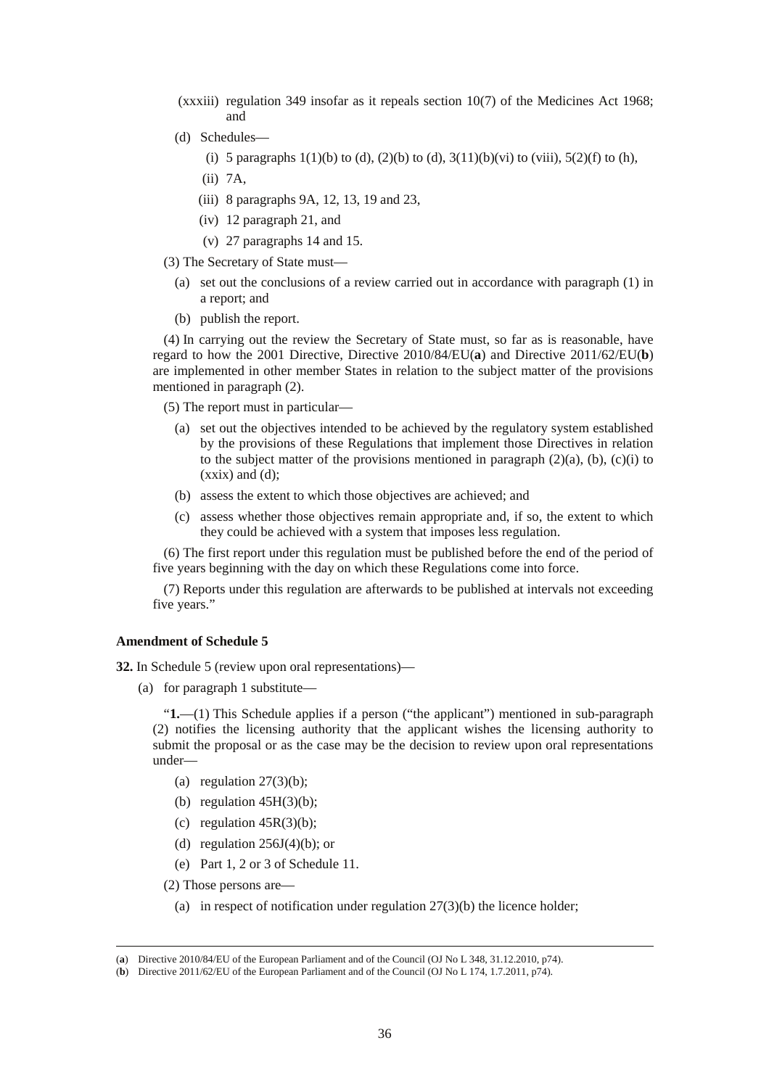- $(xxxiii)$  regulation 349 insofar as it repeals section 10(7) of the Medicines Act 1968; and
- (d) Schedules—
	- (i) 5 paragraphs 1(1)(b) to (d), (2)(b) to (d), 3(11)(b)(vi) to (viii), 5(2)(f) to (h),
	- (ii) 7A,
	- (iii) 8 paragraphs 9A, 12, 13, 19 and 23,
	- (iv) 12 paragraph 21, and
	- (v) 27 paragraphs 14 and 15.
- (3) The Secretary of State must—
	- (a) set out the conclusions of a review carried out in accordance with paragraph (1) in a report; and
	- (b) publish the report.

(4) In carrying out the review the Secretary of State must, so far as is reasonable, have regard to how the 2001 Directive, Directive 2010/84/EU(**a**) and Directive 2011/62/EU(**b**) are implemented in other member States in relation to the subject matter of the provisions mentioned in paragraph (2).

(5) The report must in particular—

- (a) set out the objectives intended to be achieved by the regulatory system established by the provisions of these Regulations that implement those Directives in relation to the subject matter of the provisions mentioned in paragraph  $(2)(a)$ ,  $(b)$ ,  $(c)(i)$  to  $(xxix)$  and  $(d)$ ;
- (b) assess the extent to which those objectives are achieved; and
- (c) assess whether those objectives remain appropriate and, if so, the extent to which they could be achieved with a system that imposes less regulation.

(6) The first report under this regulation must be published before the end of the period of five years beginning with the day on which these Regulations come into force.

(7) Reports under this regulation are afterwards to be published at intervals not exceeding five years."

### **Amendment of Schedule 5**

**32.** In Schedule 5 (review upon oral representations)—

(a) for paragraph 1 substitute—

"**1.**—(1) This Schedule applies if a person ("the applicant") mentioned in sub-paragraph (2) notifies the licensing authority that the applicant wishes the licensing authority to submit the proposal or as the case may be the decision to review upon oral representations under—

- (a) regulation  $27(3)(b)$ ;
- (b) regulation  $45H(3)(b)$ ;
- (c) regulation  $45R(3)(b)$ ;
- (d) regulation  $256J(4)(b)$ ; or
- (e) Part 1, 2 or 3 of Schedule 11.
- (2) Those persons are—

-

(a) in respect of notification under regulation  $27(3)(b)$  the licence holder;

<sup>(</sup>**a**) Directive 2010/84/EU of the European Parliament and of the Council (OJ No L 348, 31.12.2010, p74).

<sup>(</sup>**b**) Directive 2011/62/EU of the European Parliament and of the Council (OJ No L 174, 1.7.2011, p74).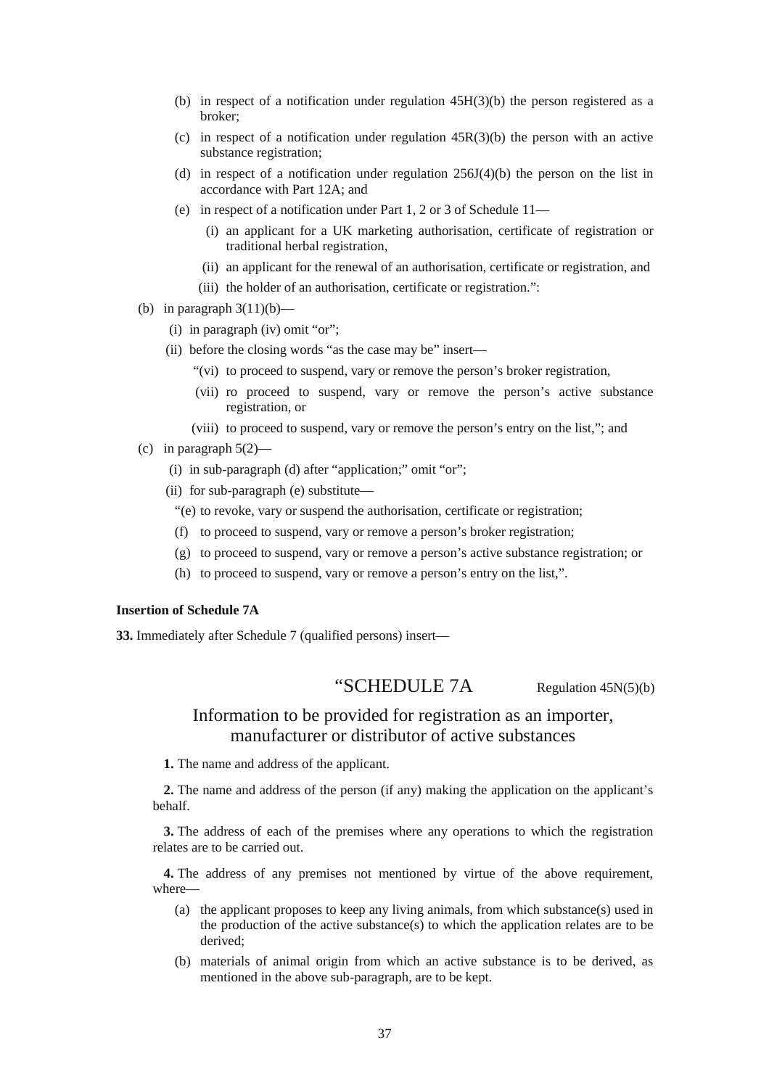- (b) in respect of a notification under regulation 45H(3)(b) the person registered as a broker;
- (c) in respect of a notification under regulation  $45R(3)(b)$  the person with an active substance registration;
- (d) in respect of a notification under regulation 256J(4)(b) the person on the list in accordance with Part 12A; and
- (e) in respect of a notification under Part 1, 2 or 3 of Schedule 11—
	- (i) an applicant for a UK marketing authorisation, certificate of registration or traditional herbal registration,
	- (ii) an applicant for the renewal of an authorisation, certificate or registration, and
	- (iii) the holder of an authorisation, certificate or registration.":
- (b) in paragraph  $3(11)(b)$ 
	- (i) in paragraph (iv) omit "or";
	- (ii) before the closing words "as the case may be" insert—
		- "(vi) to proceed to suspend, vary or remove the person's broker registration,
		- (vii) ro proceed to suspend, vary or remove the person's active substance registration, or
		- (viii) to proceed to suspend, vary or remove the person's entry on the list,"; and
- (c) in paragraph  $5(2)$ 
	- (i) in sub-paragraph (d) after "application;" omit "or";
	- (ii) for sub-paragraph (e) substitute—
		- "(e) to revoke, vary or suspend the authorisation, certificate or registration;
		- (f) to proceed to suspend, vary or remove a person's broker registration;
		- (g) to proceed to suspend, vary or remove a person's active substance registration; or
		- (h) to proceed to suspend, vary or remove a person's entry on the list,".

### **Insertion of Schedule 7A**

**33.** Immediately after Schedule 7 (qualified persons) insert—

# "SCHEDULE 7A Regulation 45N(5)(b)

# Information to be provided for registration as an importer, manufacturer or distributor of active substances

**1.** The name and address of the applicant.

**2.** The name and address of the person (if any) making the application on the applicant's behalf.

**3.** The address of each of the premises where any operations to which the registration relates are to be carried out.

**4.** The address of any premises not mentioned by virtue of the above requirement, where—

- (a) the applicant proposes to keep any living animals, from which substance(s) used in the production of the active substance(s) to which the application relates are to be derived;
- (b) materials of animal origin from which an active substance is to be derived, as mentioned in the above sub-paragraph, are to be kept.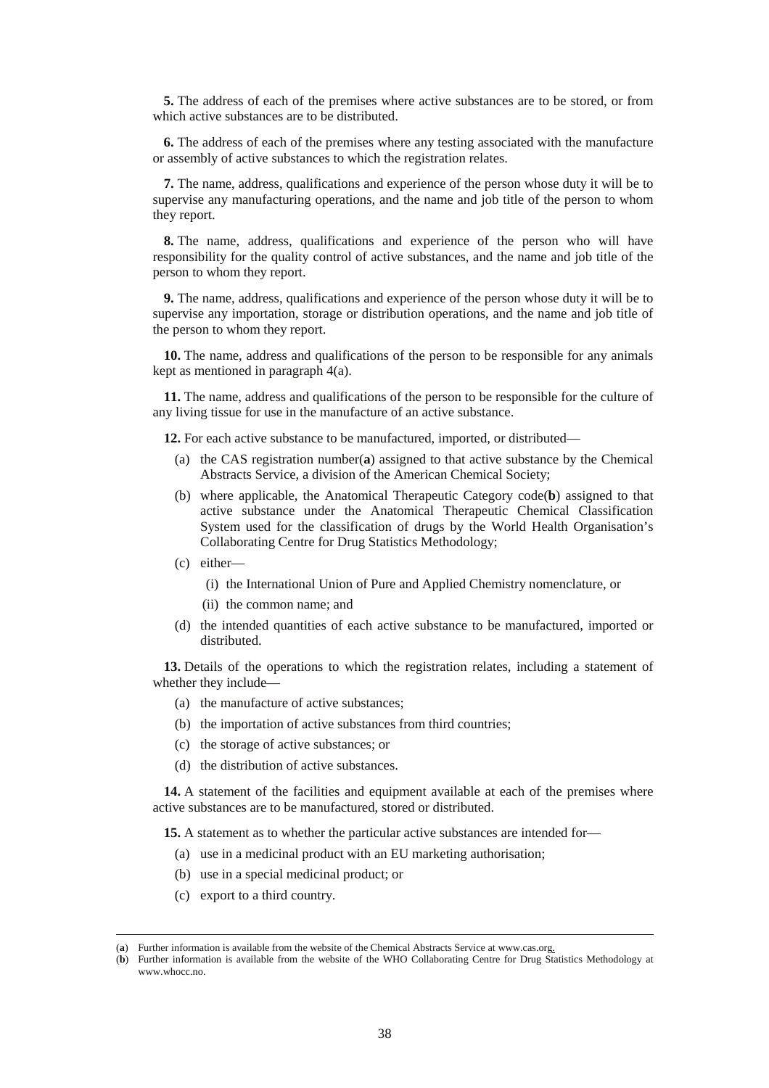**5.** The address of each of the premises where active substances are to be stored, or from which active substances are to be distributed.

**6.** The address of each of the premises where any testing associated with the manufacture or assembly of active substances to which the registration relates.

**7.** The name, address, qualifications and experience of the person whose duty it will be to supervise any manufacturing operations, and the name and job title of the person to whom they report.

**8.** The name, address, qualifications and experience of the person who will have responsibility for the quality control of active substances, and the name and job title of the person to whom they report.

**9.** The name, address, qualifications and experience of the person whose duty it will be to supervise any importation, storage or distribution operations, and the name and job title of the person to whom they report.

**10.** The name, address and qualifications of the person to be responsible for any animals kept as mentioned in paragraph 4(a).

**11.** The name, address and qualifications of the person to be responsible for the culture of any living tissue for use in the manufacture of an active substance.

**12.** For each active substance to be manufactured, imported, or distributed—

- (a) the CAS registration number(**a**) assigned to that active substance by the Chemical Abstracts Service, a division of the American Chemical Society;
- (b) where applicable, the Anatomical Therapeutic Category code(**b**) assigned to that active substance under the Anatomical Therapeutic Chemical Classification System used for the classification of drugs by the World Health Organisation's Collaborating Centre for Drug Statistics Methodology;
- (c) either—
	- (i) the International Union of Pure and Applied Chemistry nomenclature, or
	- (ii) the common name; and
- (d) the intended quantities of each active substance to be manufactured, imported or distributed.

**13.** Details of the operations to which the registration relates, including a statement of whether they include—

- (a) the manufacture of active substances;
- (b) the importation of active substances from third countries;
- (c) the storage of active substances; or
- (d) the distribution of active substances.

**14.** A statement of the facilities and equipment available at each of the premises where active substances are to be manufactured, stored or distributed.

**15.** A statement as to whether the particular active substances are intended for—

- (a) use in a medicinal product with an EU marketing authorisation;
- (b) use in a special medicinal product; or
- (c) export to a third country.

<sup>(</sup>**a**) Further information is available from the website of the Chemical Abstracts Service at www.cas.org.

<sup>(</sup>**b**) Further information is available from the website of the WHO Collaborating Centre for Drug Statistics Methodology at www.whocc.no.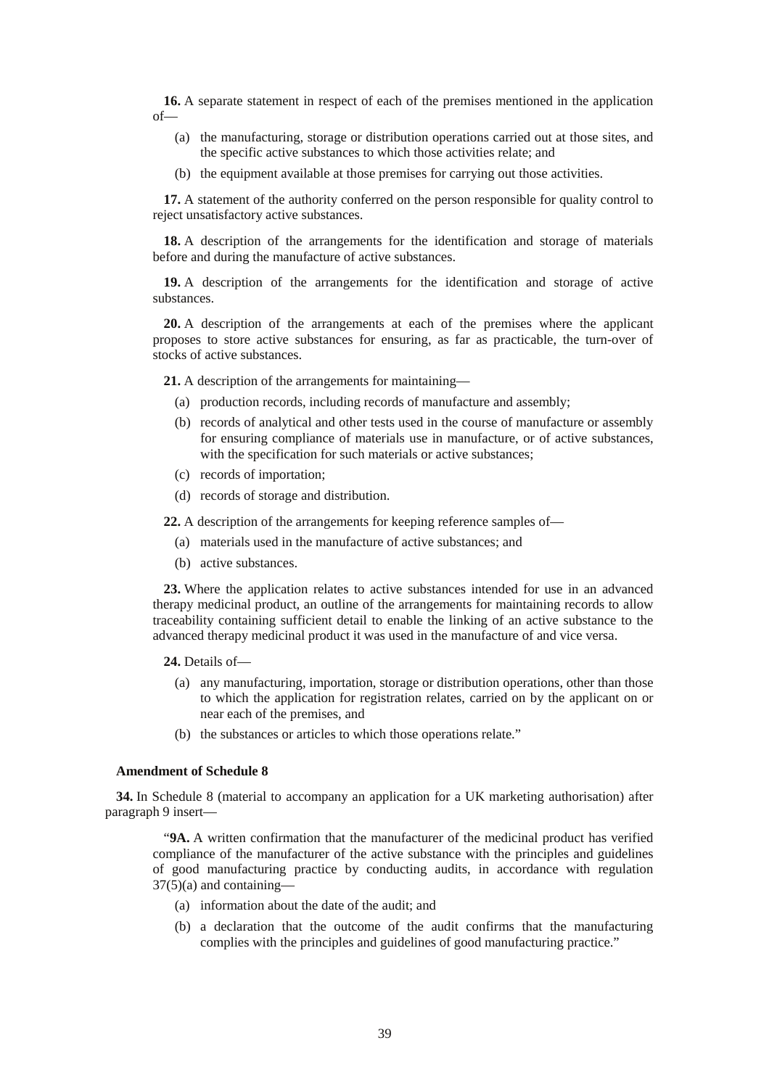**16.** A separate statement in respect of each of the premises mentioned in the application of—

- (a) the manufacturing, storage or distribution operations carried out at those sites, and the specific active substances to which those activities relate; and
- (b) the equipment available at those premises for carrying out those activities.

**17.** A statement of the authority conferred on the person responsible for quality control to reject unsatisfactory active substances.

**18.** A description of the arrangements for the identification and storage of materials before and during the manufacture of active substances.

**19.** A description of the arrangements for the identification and storage of active substances.

**20.** A description of the arrangements at each of the premises where the applicant proposes to store active substances for ensuring, as far as practicable, the turn-over of stocks of active substances.

**21.** A description of the arrangements for maintaining—

- (a) production records, including records of manufacture and assembly;
- (b) records of analytical and other tests used in the course of manufacture or assembly for ensuring compliance of materials use in manufacture, or of active substances, with the specification for such materials or active substances:
- (c) records of importation;
- (d) records of storage and distribution.

**22.** A description of the arrangements for keeping reference samples of—

- (a) materials used in the manufacture of active substances; and
- (b) active substances.

**23.** Where the application relates to active substances intended for use in an advanced therapy medicinal product, an outline of the arrangements for maintaining records to allow traceability containing sufficient detail to enable the linking of an active substance to the advanced therapy medicinal product it was used in the manufacture of and vice versa.

**24.** Details of—

- (a) any manufacturing, importation, storage or distribution operations, other than those to which the application for registration relates, carried on by the applicant on or near each of the premises, and
- (b) the substances or articles to which those operations relate."

### **Amendment of Schedule 8**

**34.** In Schedule 8 (material to accompany an application for a UK marketing authorisation) after paragraph 9 insert—

"**9A.** A written confirmation that the manufacturer of the medicinal product has verified compliance of the manufacturer of the active substance with the principles and guidelines of good manufacturing practice by conducting audits, in accordance with regulation  $37(5)$ (a) and containing—

- (a) information about the date of the audit; and
- (b) a declaration that the outcome of the audit confirms that the manufacturing complies with the principles and guidelines of good manufacturing practice."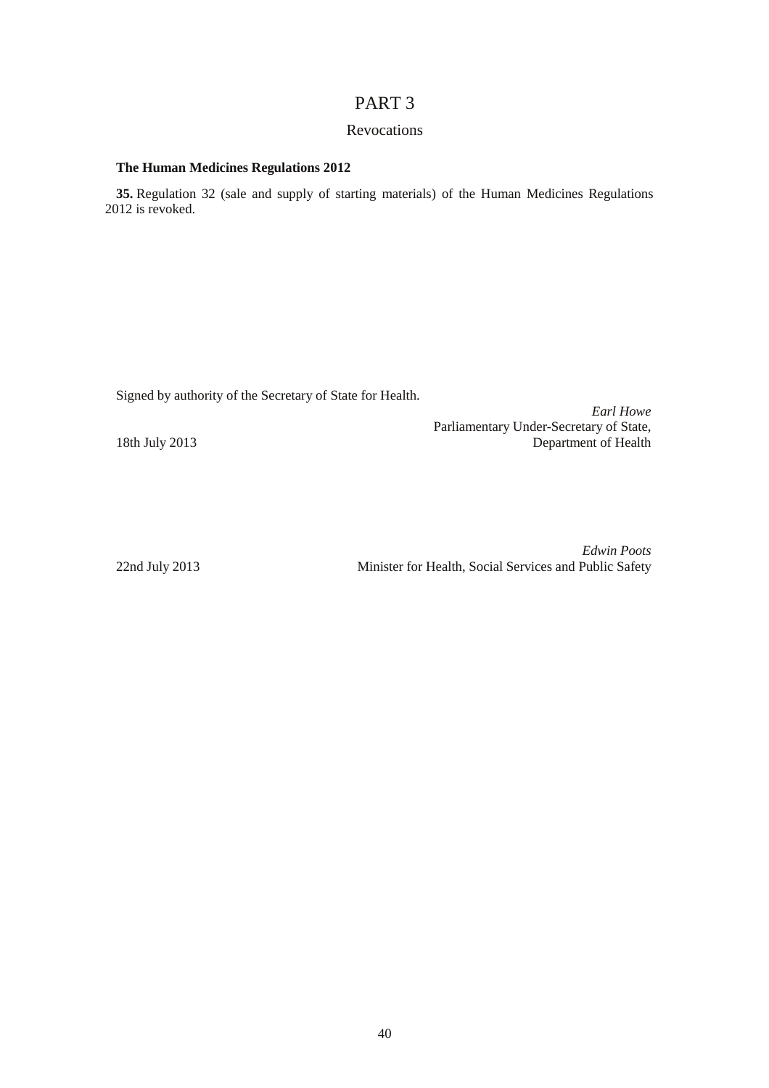# PART 3

# Revocations

## **The Human Medicines Regulations 2012**

**35.** Regulation 32 (sale and supply of starting materials) of the Human Medicines Regulations 2012 is revoked.

Signed by authority of the Secretary of State for Health.

*Earl Howe*  Parliamentary Under-Secretary of State, 18th July 2013 Department of Health

*Edwin Poots*  22nd July 2013 Minister for Health, Social Services and Public Safety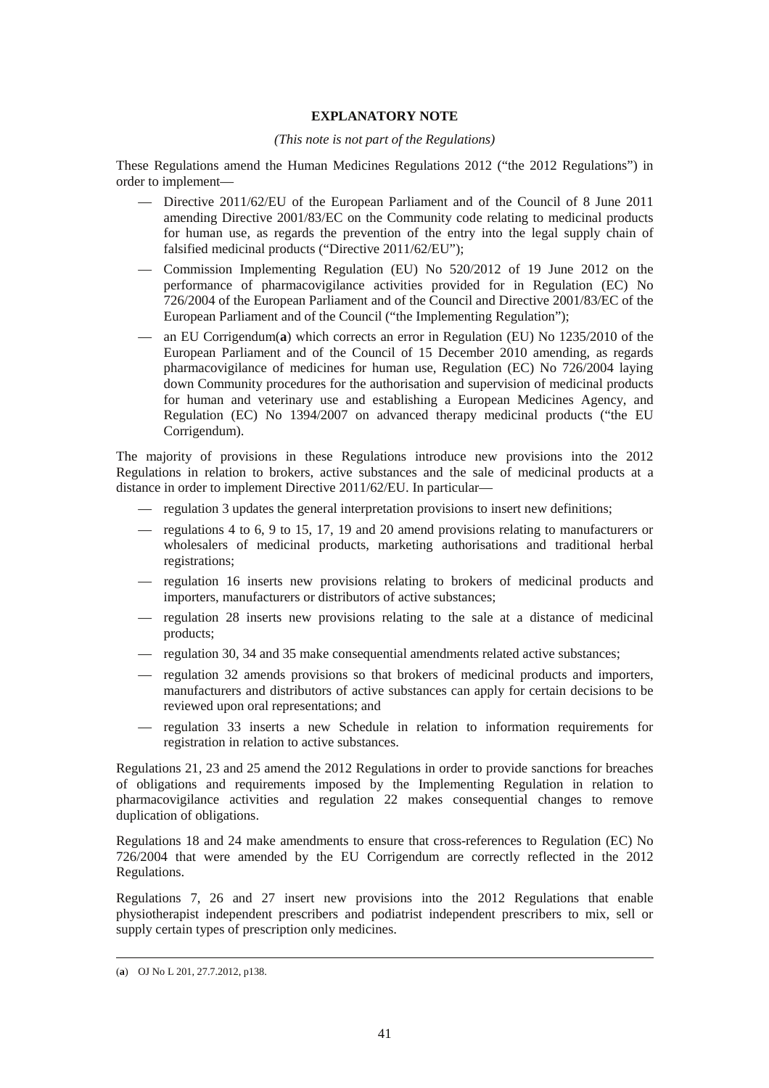### **EXPLANATORY NOTE**

### *(This note is not part of the Regulations)*

These Regulations amend the Human Medicines Regulations 2012 ("the 2012 Regulations") in order to implement—

- Directive 2011/62/EU of the European Parliament and of the Council of 8 June 2011 amending Directive 2001/83/EC on the Community code relating to medicinal products for human use, as regards the prevention of the entry into the legal supply chain of falsified medicinal products ("Directive 2011/62/EU");
- Commission Implementing Regulation (EU) No 520/2012 of 19 June 2012 on the performance of pharmacovigilance activities provided for in Regulation (EC) No 726/2004 of the European Parliament and of the Council and Directive 2001/83/EC of the European Parliament and of the Council ("the Implementing Regulation");
- an EU Corrigendum(**a**) which corrects an error in Regulation (EU) No 1235/2010 of the European Parliament and of the Council of 15 December 2010 amending, as regards pharmacovigilance of medicines for human use, Regulation (EC) No 726/2004 laying down Community procedures for the authorisation and supervision of medicinal products for human and veterinary use and establishing a European Medicines Agency, and Regulation (EC) No 1394/2007 on advanced therapy medicinal products ("the EU Corrigendum).

The majority of provisions in these Regulations introduce new provisions into the 2012 Regulations in relation to brokers, active substances and the sale of medicinal products at a distance in order to implement Directive 2011/62/EU. In particular—

- regulation 3 updates the general interpretation provisions to insert new definitions;
- regulations 4 to 6, 9 to 15, 17, 19 and 20 amend provisions relating to manufacturers or wholesalers of medicinal products, marketing authorisations and traditional herbal registrations;
- regulation 16 inserts new provisions relating to brokers of medicinal products and importers, manufacturers or distributors of active substances;
- regulation 28 inserts new provisions relating to the sale at a distance of medicinal products;
- regulation 30, 34 and 35 make consequential amendments related active substances;
- regulation 32 amends provisions so that brokers of medicinal products and importers, manufacturers and distributors of active substances can apply for certain decisions to be reviewed upon oral representations; and
- regulation 33 inserts a new Schedule in relation to information requirements for registration in relation to active substances.

Regulations 21, 23 and 25 amend the 2012 Regulations in order to provide sanctions for breaches of obligations and requirements imposed by the Implementing Regulation in relation to pharmacovigilance activities and regulation 22 makes consequential changes to remove duplication of obligations.

Regulations 18 and 24 make amendments to ensure that cross-references to Regulation (EC) No 726/2004 that were amended by the EU Corrigendum are correctly reflected in the 2012 Regulations.

Regulations 7, 26 and 27 insert new provisions into the 2012 Regulations that enable physiotherapist independent prescribers and podiatrist independent prescribers to mix, sell or supply certain types of prescription only medicines.

<sup>-</sup>(**a**) OJ No L 201, 27.7.2012, p138.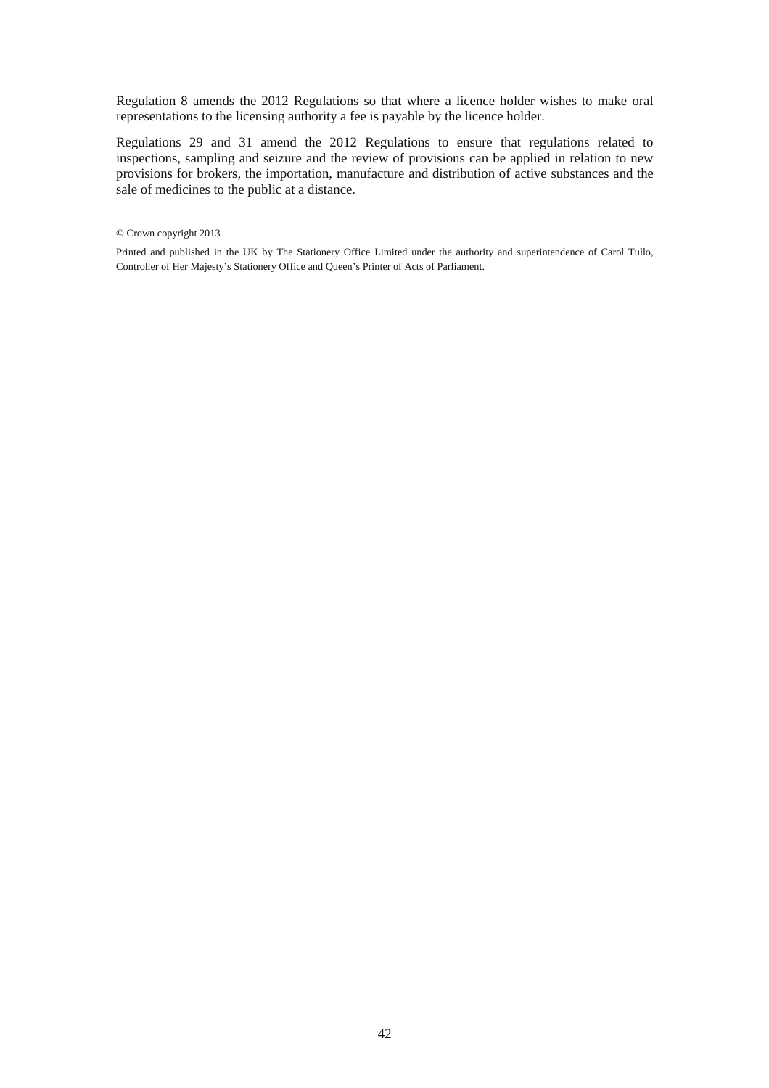Regulation 8 amends the 2012 Regulations so that where a licence holder wishes to make oral representations to the licensing authority a fee is payable by the licence holder.

Regulations 29 and 31 amend the 2012 Regulations to ensure that regulations related to inspections, sampling and seizure and the review of provisions can be applied in relation to new provisions for brokers, the importation, manufacture and distribution of active substances and the sale of medicines to the public at a distance.

<sup>©</sup> Crown copyright 2013

Printed and published in the UK by The Stationery Office Limited under the authority and superintendence of Carol Tullo, Controller of Her Majesty's Stationery Office and Queen's Printer of Acts of Parliament.